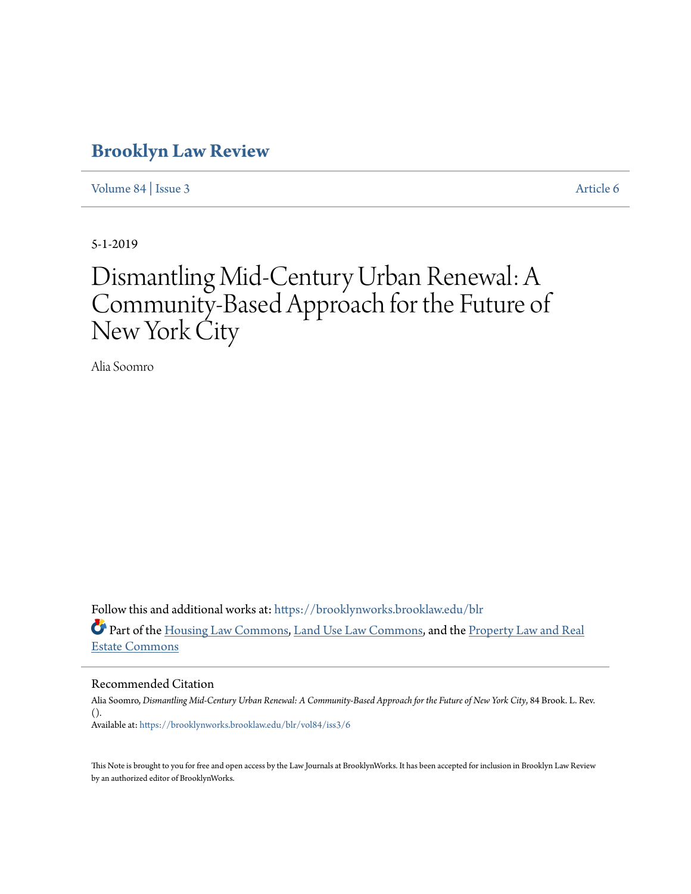# **[Brooklyn Law Review](https://brooklynworks.brooklaw.edu/blr?utm_source=brooklynworks.brooklaw.edu%2Fblr%2Fvol84%2Fiss3%2F6&utm_medium=PDF&utm_campaign=PDFCoverPages)**

[Volume 84](https://brooklynworks.brooklaw.edu/blr/vol84?utm_source=brooklynworks.brooklaw.edu%2Fblr%2Fvol84%2Fiss3%2F6&utm_medium=PDF&utm_campaign=PDFCoverPages) | [Issue 3](https://brooklynworks.brooklaw.edu/blr/vol84/iss3?utm_source=brooklynworks.brooklaw.edu%2Fblr%2Fvol84%2Fiss3%2F6&utm_medium=PDF&utm_campaign=PDFCoverPages) [Article 6](https://brooklynworks.brooklaw.edu/blr/vol84/iss3/6?utm_source=brooklynworks.brooklaw.edu%2Fblr%2Fvol84%2Fiss3%2F6&utm_medium=PDF&utm_campaign=PDFCoverPages)

5-1-2019

# Dismantling Mid-Century Urban Renewal: A Community-Based Approach for the Future of New York City

Alia Soomro

Follow this and additional works at: [https://brooklynworks.brooklaw.edu/blr](https://brooklynworks.brooklaw.edu/blr?utm_source=brooklynworks.brooklaw.edu%2Fblr%2Fvol84%2Fiss3%2F6&utm_medium=PDF&utm_campaign=PDFCoverPages) Part of the [Housing Law Commons,](http://network.bepress.com/hgg/discipline/846?utm_source=brooklynworks.brooklaw.edu%2Fblr%2Fvol84%2Fiss3%2F6&utm_medium=PDF&utm_campaign=PDFCoverPages) [Land Use Law Commons,](http://network.bepress.com/hgg/discipline/852?utm_source=brooklynworks.brooklaw.edu%2Fblr%2Fvol84%2Fiss3%2F6&utm_medium=PDF&utm_campaign=PDFCoverPages) and the [Property Law and Real](http://network.bepress.com/hgg/discipline/897?utm_source=brooklynworks.brooklaw.edu%2Fblr%2Fvol84%2Fiss3%2F6&utm_medium=PDF&utm_campaign=PDFCoverPages) [Estate Commons](http://network.bepress.com/hgg/discipline/897?utm_source=brooklynworks.brooklaw.edu%2Fblr%2Fvol84%2Fiss3%2F6&utm_medium=PDF&utm_campaign=PDFCoverPages)

Recommended Citation

Alia Soomro, *Dismantling Mid-Century Urban Renewal: A Community-Based Approach for the Future of New York City*, 84 Brook. L. Rev. (). Available at: [https://brooklynworks.brooklaw.edu/blr/vol84/iss3/6](https://brooklynworks.brooklaw.edu/blr/vol84/iss3/6?utm_source=brooklynworks.brooklaw.edu%2Fblr%2Fvol84%2Fiss3%2F6&utm_medium=PDF&utm_campaign=PDFCoverPages)

This Note is brought to you for free and open access by the Law Journals at BrooklynWorks. It has been accepted for inclusion in Brooklyn Law Review by an authorized editor of BrooklynWorks.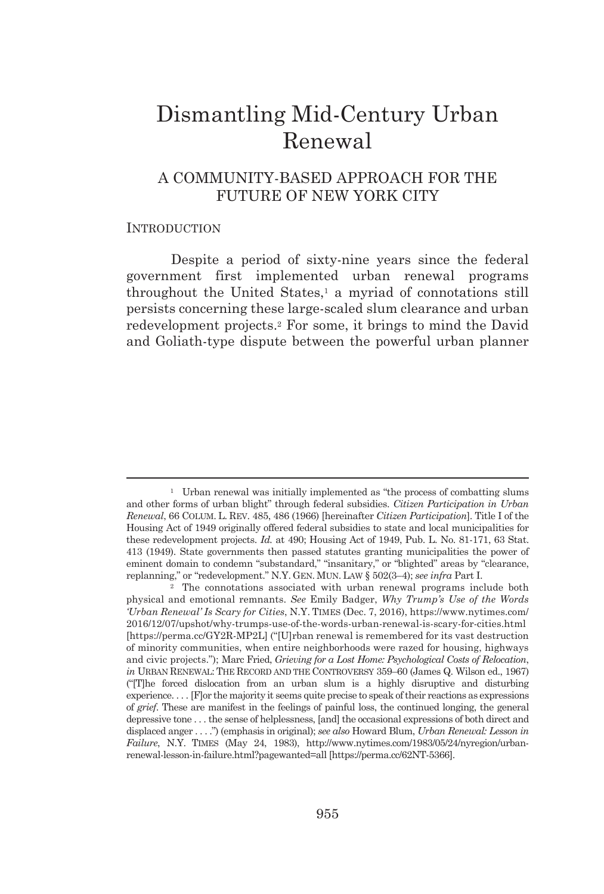# Dismantling Mid-Century Urban Renewal

# A COMMUNITY-BASED APPROACH FOR THE FUTURE OF NEW YORK CITY

#### **INTRODUCTION**

Despite a period of sixty-nine years since the federal government first implemented urban renewal programs throughout the United States,<sup>1</sup> a myriad of connotations still persists concerning these large-scaled slum clearance and urban redevelopment projects.2 For some, it brings to mind the David and Goliath-type dispute between the powerful urban planner

<sup>1</sup> Urban renewal was initially implemented as "the process of combatting slums and other forms of urban blight" through federal subsidies. *Citizen Participation in Urban Renewal*, 66 COLUM. L. REV. 485, 486 (1966) [hereinafter *Citizen Participation*]. Title I of the Housing Act of 1949 originally offered federal subsidies to state and local municipalities for these redevelopment projects. *Id.* at 490; Housing Act of 1949, Pub. L. No. 81-171, 63 Stat. 413 (1949). State governments then passed statutes granting municipalities the power of eminent domain to condemn "substandard," "insanitary," or "blighted" areas by "clearance, replanning," or "redevelopment." N.Y. GEN. MUN. LAW  $\S 502(3-4)$ ; see infra Part I.

<sup>&</sup>lt;sup>2</sup> The connotations associated with urban renewal programs include both physical and emotional remnants. *See* Emily Badger, *Why Trump's Use of the Words 'Urban Renewal' Is Scary for Cities*, N.Y. TIMES (Dec. 7, 2016), https://www.nytimes.com/ 2016/12/07/upshot/why-trumps-use-of-the-words-urban-renewal-is-scary-for-cities.html [https://perma.cc/GY2R-MP2L] ("[U]rban renewal is remembered for its vast destruction of minority communities, when entire neighborhoods were razed for housing, highways and civic projects."); Marc Fried, *Grieving for a Lost Home: Psychological Costs of Relocation*, *in* URBAN RENEWAL: THE RECORD AND THE CONTROVERSY 359–60 (James Q. Wilson ed., 1967) ("[T]he forced dislocation from an urban slum is a highly disruptive and disturbing experience. . . . [F]or the majority it seems quite precise to speak of their reactions as expressions of *grief*. These are manifest in the feelings of painful loss, the continued longing, the general depressive tone . . . the sense of helplessness, [and] the occasional expressions of both direct and displaced anger . . . .") (emphasis in original); *see also* Howard Blum, *Urban Renewal: Lesson in Failure*, N.Y. TIMES (May 24, 1983), http://www.nytimes.com/1983/05/24/nyregion/urbanrenewal-lesson-in-failure.html?pagewanted=all [https://perma.cc/62NT-5366].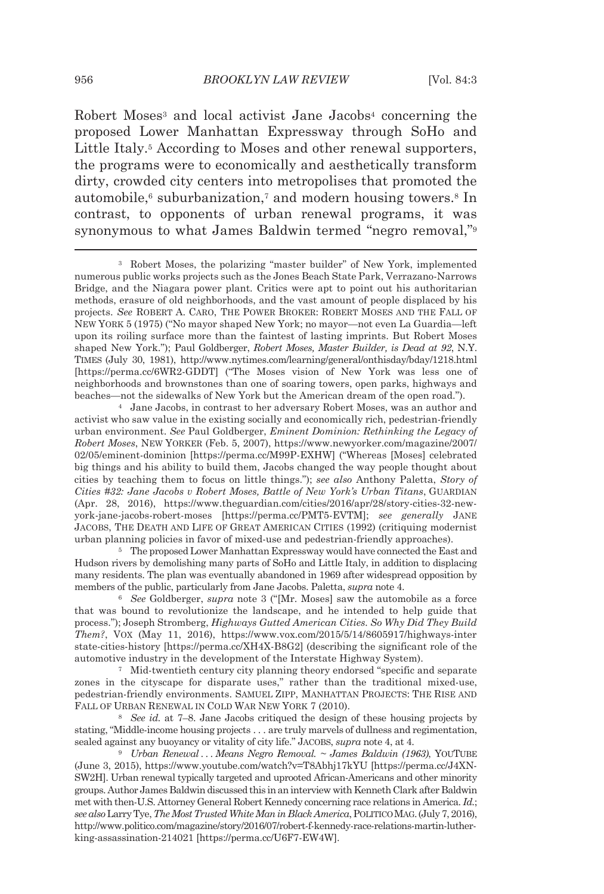Robert Moses<sup>3</sup> and local activist Jane Jacobs<sup>4</sup> concerning the proposed Lower Manhattan Expressway through SoHo and Little Italy.<sup>5</sup> According to Moses and other renewal supporters, the programs were to economically and aesthetically transform dirty, crowded city centers into metropolises that promoted the automobile,<sup>6</sup> suburbanization,<sup>7</sup> and modern housing towers.<sup>8</sup> In contrast, to opponents of urban renewal programs, it was synonymous to what James Baldwin termed "negro removal,"9

Hudson rivers by demolishing many parts of SoHo and Little Italy, in addition to displacing many residents. The plan was eventually abandoned in 1969 after widespread opposition by members of the public, particularly from Jane Jacobs. Paletta, *supra* note 4.<br><sup>6</sup> See Goldberger, *supra* note 3 ("[Mr. Moses] saw the automobile as a force

that was bound to revolutionize the landscape, and he intended to help guide that process."); Joseph Stromberg, *Highways Gutted American Cities. So Why Did They Build Them?*, VOX (May 11, 2016), https://www.vox.com/2015/5/14/8605917/highways-inter state-cities-history [https://perma.cc/XH4X-B8G2] (describing the significant role of the automotive industry in the development of the Interstate Highway System). 7 Mid-twentieth century city planning theory endorsed "specific and separate

zones in the cityscape for disparate uses," rather than the traditional mixed-use, pedestrian-friendly environments. SAMUEL ZIPP, MANHATTAN PROJECTS: THE RISE AND FALL OF URBAN RENEWAL IN COLD WAR NEW YORK 7 (2010).<br><sup>8</sup> See id. at 7–8. Jane Jacobs critiqued the design of these housing projects by

stating, "Middle-income housing projects . . . are truly marvels of dullness and regimentation, sealed against any buoyancy or vitality of city life." JACOBS, *supra* note 4, at 4.<br><sup>9</sup> Urban Renewal . . . Means Negro Removal. ~ James Baldwin (1963), YOUTUBE

(June 3, 2015), https://www.youtube.com/watch?v=T8Abhj17kYU [https://perma.cc/J4XN-SW2H]. Urban renewal typically targeted and uprooted African-Americans and other minority groups. Author James Baldwin discussed this in an interview with Kenneth Clark after Baldwin met with then-U.S. Attorney General Robert Kennedy concerning race relations in America. *Id.*; *see also* Larry Tye, *The Most Trusted White Man in Black America*, POLITICO MAG.(July 7, 2016), http://www.politico.com/magazine/story/2016/07/robert-f-kennedy-race-relations-martin-lutherking-assassination-214021 [https://perma.cc/U6F7-EW4W].

<sup>3</sup> Robert Moses, the polarizing "master builder" of New York, implemented numerous public works projects such as the Jones Beach State Park, Verrazano-Narrows Bridge, and the Niagara power plant. Critics were apt to point out his authoritarian methods, erasure of old neighborhoods, and the vast amount of people displaced by his projects. *See* ROBERT A. CARO, THE POWER BROKER: ROBERT MOSES AND THE FALL OF NEW YORK 5 (1975) ("No mayor shaped New York; no mayor—not even La Guardia—left upon its roiling surface more than the faintest of lasting imprints. But Robert Moses shaped New York."); Paul Goldberger, *Robert Moses, Master Builder, is Dead at 92*, N.Y. TIMES (July 30, 1981), http://www.nytimes.com/learning/general/onthisday/bday/1218.html [https://perma.cc/6WR2-GDDT] ("The Moses vision of New York was less one of neighborhoods and brownstones than one of soaring towers, open parks, highways and beaches—not the sidewalks of New York but the American dream of the open road."). 4 Jane Jacobs, in contrast to her adversary Robert Moses, was an author and

activist who saw value in the existing socially and economically rich, pedestrian-friendly urban environment. *See* Paul Goldberger, *Eminent Dominion: Rethinking the Legacy of Robert Moses*, NEW YORKER (Feb. 5, 2007), https://www.newyorker.com/magazine/2007/ 02/05/eminent-dominion [https://perma.cc/M99P-EXHW] ("Whereas [Moses] celebrated big things and his ability to build them, Jacobs changed the way people thought about cities by teaching them to focus on little things."); *see also* Anthony Paletta, *Story of Cities #32: Jane Jacobs v Robert Moses, Battle of New York's Urban Titans*, GUARDIAN (Apr. 28, 2016), https://www.theguardian.com/cities/2016/apr/28/story-cities-32-newyork-jane-jacobs-robert-moses [https://perma.cc/PMT5-EVTM]; *see generally* JANE JACOBS, THE DEATH AND LIFE OF GREAT AMERICAN CITIES (1992) (critiquing modernist urban planning policies in favor of mixed-use and pedestrian-friendly approaches). 5 The proposed Lower Manhattan Expressway would have connected the East and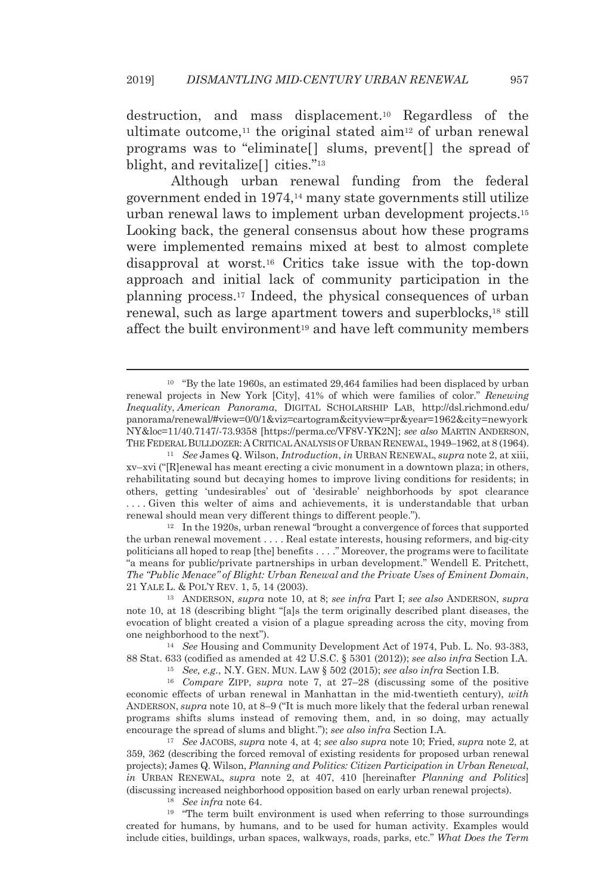destruction, and mass displacement.10 Regardless of the ultimate outcome,<sup>11</sup> the original stated aim<sup>12</sup> of urban renewal programs was to "eliminate[] slums, prevent[] the spread of blight, and revitalize[] cities."13

Although urban renewal funding from the federal government ended in 1974,14 many state governments still utilize urban renewal laws to implement urban development projects.15 Looking back, the general consensus about how these programs were implemented remains mixed at best to almost complete disapproval at worst.16 Critics take issue with the top-down approach and initial lack of community participation in the planning process.17 Indeed, the physical consequences of urban renewal, such as large apartment towers and superblocks,<sup>18</sup> still affect the built environment<sup>19</sup> and have left community members

the urban renewal movement . . . . Real estate interests, housing reformers, and big-city politicians all hoped to reap [the] benefits . . . ." Moreover, the programs were to facilitate "a means for public/private partnerships in urban development." Wendell E. Pritchett, *The "Public Menace" of Blight: Urban Renewal and the Private Uses of Eminent Domain*, 21 YALE L. & POL'Y REV. 1, 5, 14 (2003). 13 ANDERSON, *supra* note 10, at 8; *see infra* Part I; *see also* ANDERSON, *supra*

88 Stat. 633 (codified as amended at 42 U.S.C. § 5301 (2012)); see also infra Section I.A.<br><sup>15</sup> See, e.g., N.Y. GEN. MUN. LAW § 502 (2015); see also infra Section I.B.<br><sup>16</sup> Compare ZIPP, *supra* note 7, at 27–28 (discussi

economic effects of urban renewal in Manhattan in the mid-twentieth century), *with* ANDERSON, *supra* note 10, at 8–9 ("It is much more likely that the federal urban renewal programs shifts slums instead of removing them, and, in so doing, may actually encourage the spread of slums and blight."); *see also infra* Section I.A. 17 *See* JACOBS, *supra* note 4, at 4; *see also supra* note 10; Fried, *supra* note 2, at

359, 362 (describing the forced removal of existing residents for proposed urban renewal projects); James Q. Wilson, *Planning and Politics: Citizen Participation in Urban Renewal*, *in* URBAN RENEWAL, *supra* note 2, at 407, 410 [hereinafter *Planning and Politics*] (discussing increased neighborhood opposition based on early urban renewal projects). 18 *See infra* note 64. 19 "The term built environment is used when referring to those surroundings

created for humans, by humans, and to be used for human activity. Examples would include cities, buildings, urban spaces, walkways, roads, parks, etc." *What Does the Term* 

<sup>10 &</sup>quot;By the late 1960s, an estimated 29,464 families had been displaced by urban renewal projects in New York [City], 41% of which were families of color." *Renewing Inequality*, *American Panorama*, DIGITAL SCHOLARSHIP LAB, http://dsl.richmond.edu/ panorama/renewal/#view=0/0/1&viz=cartogram&cityview=pr&year=1962&city=newyork NY&loc=11/40.7147/-73.9358 [https://perma.cc/VF8V-YK2N]; *see also* MARTIN ANDERSON, THE FEDERAL BULLDOZER:ACRITICAL ANALYSIS OF URBAN RENEWAL, 1949–1962, at 8 (1964). 11 *See* James Q. Wilson, *Introduction*, *in* URBAN RENEWAL, *supra* note 2, at xiii,

xv–xvi ("[R]enewal has meant erecting a civic monument in a downtown plaza; in others, rehabilitating sound but decaying homes to improve living conditions for residents; in others, getting 'undesirables' out of 'desirable' neighborhoods by spot clearance . . . . Given this welter of aims and achievements, it is understandable that urban renewal should mean very different things to different people."). 12 In the 1920s, urban renewal "brought a convergence of forces that supported

note 10, at 18 (describing blight "[a]s the term originally described plant diseases, the evocation of blight created a vision of a plague spreading across the city, moving from one neighborhood to the next"). 14 *See* Housing and Community Development Act of 1974, Pub. L. No. 93-383,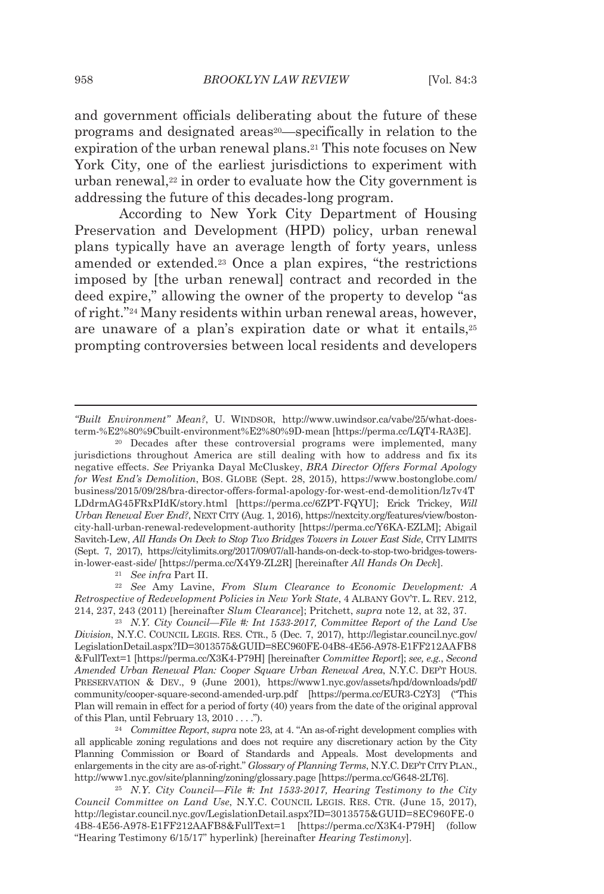and government officials deliberating about the future of these programs and designated areas<sup>20</sup>—specifically in relation to the expiration of the urban renewal plans.21 This note focuses on New York City, one of the earliest jurisdictions to experiment with urban renewal,<sup>22</sup> in order to evaluate how the City government is addressing the future of this decades-long program.

According to New York City Department of Housing Preservation and Development (HPD) policy, urban renewal plans typically have an average length of forty years, unless amended or extended.23 Once a plan expires, "the restrictions imposed by [the urban renewal] contract and recorded in the deed expire," allowing the owner of the property to develop "as of right."24 Many residents within urban renewal areas, however, are unaware of a plan's expiration date or what it entails,25 prompting controversies between local residents and developers

*Retrospective of Redevelopment Policies in New York State*, 4 ALBANY GOV'T. L. REV. 212, 214, 237, 243 (2011) [hereinafter *Slum Clearance*]; Pritchett, *supra* note 12, at 32, 37. 23 *N.Y. City Council—File #: Int 1533-2017, Committee Report of the Land Use* 

*<sup>&</sup>quot;Built Environment" Mean?*, U. WINDSOR, http://www.uwindsor.ca/vabe/25/what-doesterm-%E2%80%9Cbuilt-environment%E2%80%9D-mean [https://perma.cc/LQT4-RA3E]. 20 Decades after these controversial programs were implemented, many

jurisdictions throughout America are still dealing with how to address and fix its negative effects. *See* Priyanka Dayal McCluskey, *BRA Director Offers Formal Apology for West End's Demolition*, BOS. GLOBE (Sept. 28, 2015), https://www.bostonglobe.com/ business/2015/09/28/bra-director-offers-formal-apology-for-west-end-demolition/lz7v4T LDdrmAG45FRxPIdK/story.html [https://perma.cc/6ZPT-FQYU]; Erick Trickey, *Will Urban Renewal Ever End?*, NEXT CITY (Aug. 1, 2016), https://nextcity.org/features/view/bostoncity-hall-urban-renewal-redevelopment-authority [https://perma.cc/Y6KA-EZLM]; Abigail Savitch-Lew, *All Hands On Deck to Stop Two Bridges Towers in Lower East Side*, CITY LIMITS (Sept. 7, 2017), https://citylimits.org/2017/09/07/all-hands-on-deck-to-stop-two-bridges-towersin-lower-east-side/ [https://perma.cc/X4Y9-ZL2R] [hereinafter *All Hands On Deck*]. 21 *See infra* Part II. 22 *See* Amy Lavine, *From Slum Clearance to Economic Development: A* 

*Division*, N.Y.C. COUNCIL LEGIS. RES. CTR., 5 (Dec. 7, 2017), http://legistar.council.nyc.gov/ LegislationDetail.aspx?ID=3013575&GUID=8EC960FE-04B8-4E56-A978-E1FF212AAFB8 &FullText=1 [https://perma.cc/X3K4-P79H] [hereinafter *Committee Report*]; *see, e.g.*, *Second Amended Urban Renewal Plan: Cooper Square Urban Renewal Area*, N.Y.C. DEP'T HOUS. PRESERVATION & DEV., 9 (June 2001), https://www1.nyc.gov/assets/hpd/downloads/pdf/ community/cooper-square-second-amended-urp.pdf [https://perma.cc/EUR3-C2Y3] ("This Plan will remain in effect for a period of forty (40) years from the date of the original approval of this Plan, until February 13, 2010 . . . ."). 24 *Committee Report*, *supra* note 23, at 4. "An as-of-right development complies with

all applicable zoning regulations and does not require any discretionary action by the City Planning Commission or Board of Standards and Appeals. Most developments and enlargements in the city are as-of-right." *Glossary of Planning Terms*, N.Y.C. DEP'T CITY PLAN., http://www1.nyc.gov/site/planning/zoning/glossary.page [https://perma.cc/G648-2LT6]. 25 *N.Y. City Council—File #: Int 1533-2017, Hearing Testimony to the City* 

*Council Committee on Land Use*, N.Y.C. COUNCIL LEGIS. RES. CTR. (June 15, 2017), http://legistar.council.nyc.gov/LegislationDetail.aspx?ID=3013575&GUID=8EC960FE-0 4B8-4E56-A978-E1FF212AAFB8&FullText=1 [https://perma.cc/X3K4-P79H] (follow "Hearing Testimony 6/15/17" hyperlink) [hereinafter *Hearing Testimony*].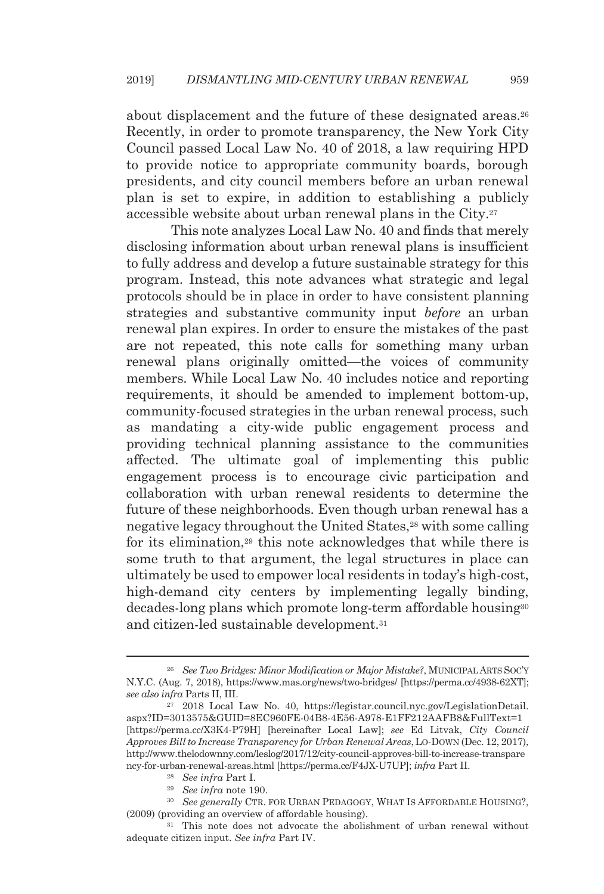about displacement and the future of these designated areas.<sup>26</sup> Recently, in order to promote transparency, the New York City Council passed Local Law No. 40 of 2018, a law requiring HPD to provide notice to appropriate community boards, borough presidents, and city council members before an urban renewal plan is set to expire, in addition to establishing a publicly accessible website about urban renewal plans in the City.27

This note analyzes Local Law No. 40 and finds that merely disclosing information about urban renewal plans is insufficient to fully address and develop a future sustainable strategy for this program. Instead, this note advances what strategic and legal protocols should be in place in order to have consistent planning strategies and substantive community input *before* an urban renewal plan expires. In order to ensure the mistakes of the past are not repeated, this note calls for something many urban renewal plans originally omitted—the voices of community members. While Local Law No. 40 includes notice and reporting requirements, it should be amended to implement bottom-up, community-focused strategies in the urban renewal process, such as mandating a city-wide public engagement process and providing technical planning assistance to the communities affected. The ultimate goal of implementing this public engagement process is to encourage civic participation and collaboration with urban renewal residents to determine the future of these neighborhoods. Even though urban renewal has a negative legacy throughout the United States,<sup>28</sup> with some calling for its elimination,29 this note acknowledges that while there is some truth to that argument, the legal structures in place can ultimately be used to empower local residents in today's high-cost, high-demand city centers by implementing legally binding, decades-long plans which promote long-term affordable housing30 and citizen-led sustainable development.31

adequate citizen input. *See infra* Part IV.

<sup>26</sup> *See Two Bridges: Minor Modification or Major Mistake?*, MUNICIPAL ARTS SOC'Y N.Y.C. (Aug. 7, 2018), https://www.mas.org/news/two-bridges/ [https://perma.cc/4938-62XT]; *see also infra* Parts II, III. 27 2018 Local Law No. 40, https://legistar.council.nyc.gov/LegislationDetail.

aspx?ID=3013575&GUID=8EC960FE-04B8-4E56-A978-E1FF212AAFB8&FullText=1 [https://perma.cc/X3K4-P79H] [hereinafter Local Law]; *see* Ed Litvak, *City Council Approves Bill to Increase Transparency for Urban Renewal Areas*,LO-DOWN (Dec. 12, 2017), http://www.thelodownny.com/leslog/2017/12/city-council-approves-bill-to-increase-transpare ncy-for-urban-renewal-areas.html [https://perma.cc/F4JX-U7UP]; *infra* Part II.<br><sup>28</sup> See infra Part I.<br><sup>29</sup> See infra note 190.<br><sup>30</sup> See generally CTR. FOR URBAN PEDAGOGY, WHAT IS AFFORDABLE HOUSING?,

 $(2009)$  (providing an overview of affordable housing).<br><sup>31</sup> This note does not advocate the abolishment of urban renewal without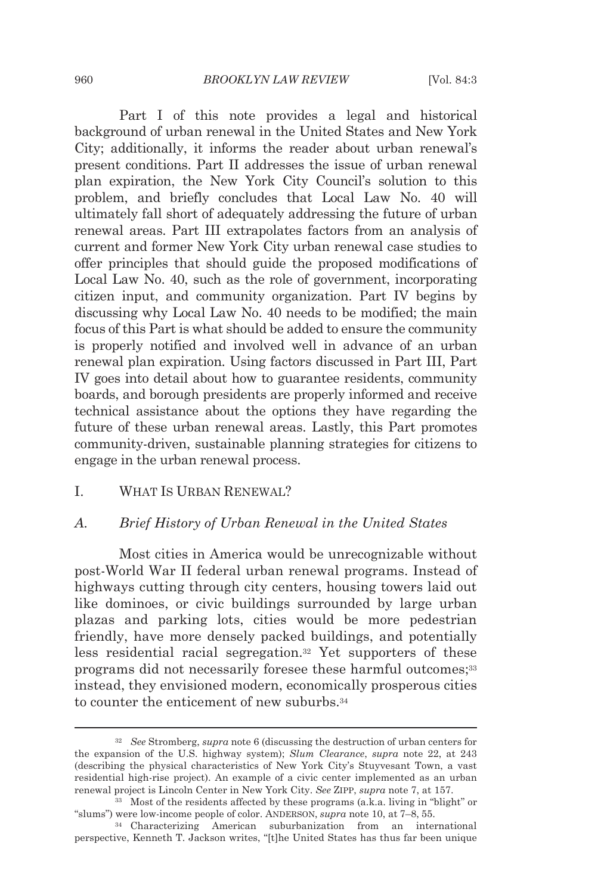Part I of this note provides a legal and historical background of urban renewal in the United States and New York City; additionally, it informs the reader about urban renewal's present conditions. Part II addresses the issue of urban renewal plan expiration, the New York City Council's solution to this problem, and briefly concludes that Local Law No. 40 will ultimately fall short of adequately addressing the future of urban renewal areas. Part III extrapolates factors from an analysis of current and former New York City urban renewal case studies to offer principles that should guide the proposed modifications of Local Law No. 40, such as the role of government, incorporating citizen input, and community organization. Part IV begins by discussing why Local Law No. 40 needs to be modified; the main focus of this Part is what should be added to ensure the community is properly notified and involved well in advance of an urban renewal plan expiration. Using factors discussed in Part III, Part IV goes into detail about how to guarantee residents, community boards, and borough presidents are properly informed and receive technical assistance about the options they have regarding the future of these urban renewal areas. Lastly, this Part promotes community-driven, sustainable planning strategies for citizens to engage in the urban renewal process.

# I. WHAT IS URBAN RENEWAL?

#### *A. Brief History of Urban Renewal in the United States*

Most cities in America would be unrecognizable without post-World War II federal urban renewal programs. Instead of highways cutting through city centers, housing towers laid out like dominoes, or civic buildings surrounded by large urban plazas and parking lots, cities would be more pedestrian friendly, have more densely packed buildings, and potentially less residential racial segregation.32 Yet supporters of these programs did not necessarily foresee these harmful outcomes;<sup>33</sup> instead, they envisioned modern, economically prosperous cities to counter the enticement of new suburbs.34

<sup>32</sup> *See* Stromberg, *supra* note 6 (discussing the destruction of urban centers for the expansion of the U.S. highway system); *Slum Clearance*, *supra* note 22, at 243 (describing the physical characteristics of New York City's Stuyvesant Town, a vast residential high-rise project). An example of a civic center implemented as an urban renewal project is Lincoln Center in New York City. *See* ZIPP, *supra* note 7, at 157. 33 Most of the residents affected by these programs (a.k.a. living in "blight" or

<sup>&</sup>quot;slums") were low-income people of color. ANDERSON, *supra* note 10, at 7–8, 55. 34 Characterizing American suburbanization from an international

perspective, Kenneth T. Jackson writes, "[t]he United States has thus far been unique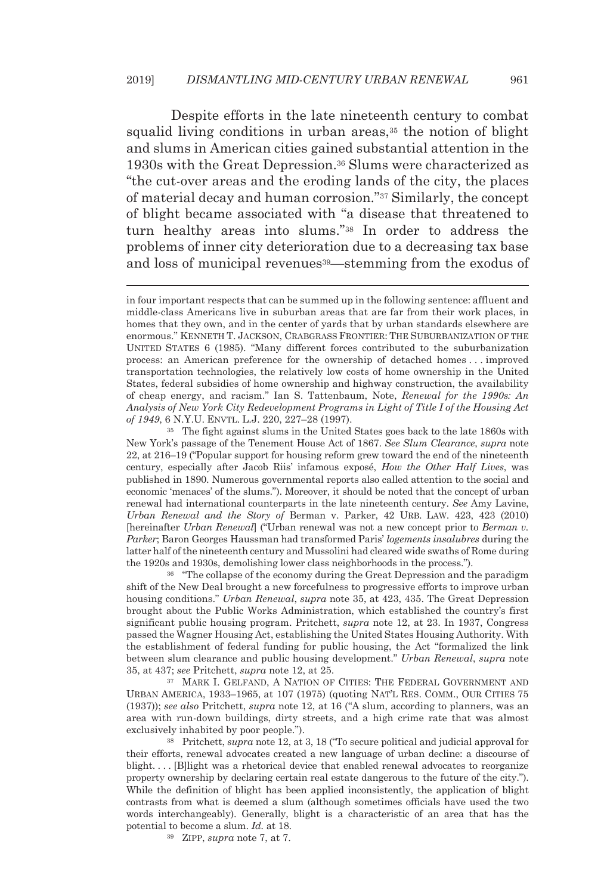Despite efforts in the late nineteenth century to combat squalid living conditions in urban areas,<sup>35</sup> the notion of blight and slums in American cities gained substantial attention in the 1930s with the Great Depression.36 Slums were characterized as "the cut-over areas and the eroding lands of the city, the places of material decay and human corrosion."37 Similarly, the concept of blight became associated with "a disease that threatened to turn healthy areas into slums."38 In order to address the problems of inner city deterioration due to a decreasing tax base and loss of municipal revenues<sup>39</sup>—stemming from the exodus of

shift of the New Deal brought a new forcefulness to progressive efforts to improve urban housing conditions." *Urban Renewal*, *supra* note 35, at 423, 435. The Great Depression brought about the Public Works Administration, which established the country's first significant public housing program. Pritchett, *supra* note 12, at 23. In 1937, Congress passed the Wagner Housing Act, establishing the United States Housing Authority. With the establishment of federal funding for public housing, the Act "formalized the link between slum clearance and public housing development." *Urban Renewal*, *supra* note 35, at 437; *see* Pritchett, *supra* note 12, at 25. 37 MARK I. GELFAND, <sup>A</sup> NATION OF CITIES: THE FEDERAL GOVERNMENT AND

URBAN AMERICA, 1933–1965, at 107 (1975) (quoting NAT'L RES. COMM., OUR CITIES 75 (1937)); *see also* Pritchett, *supra* note 12, at 16 ("A slum, according to planners, was an area with run-down buildings, dirty streets, and a high crime rate that was almost exclusively inhabited by poor people."). 38 Pritchett, *supra* note 12, at 3, 18 ("To secure political and judicial approval for

their efforts, renewal advocates created a new language of urban decline: a discourse of blight. . . . [B]light was a rhetorical device that enabled renewal advocates to reorganize property ownership by declaring certain real estate dangerous to the future of the city."). While the definition of blight has been applied inconsistently, the application of blight contrasts from what is deemed a slum (although sometimes officials have used the two words interchangeably). Generally, blight is a characteristic of an area that has the potential to become a slum. *Id.* at 18.<br><sup>39</sup> ZIPP, *supra* note 7, at 7.

in four important respects that can be summed up in the following sentence: affluent and middle-class Americans live in suburban areas that are far from their work places, in homes that they own, and in the center of yards that by urban standards elsewhere are enormous." KENNETH T. JACKSON, CRABGRASS FRONTIER: THE SUBURBANIZATION OF THE UNITED STATES 6 (1985). "Many different forces contributed to the suburbanization process: an American preference for the ownership of detached homes . . . improved transportation technologies, the relatively low costs of home ownership in the United States, federal subsidies of home ownership and highway construction, the availability of cheap energy, and racism." Ian S. Tattenbaum, Note, *Renewal for the 1990s: An Analysis of New York City Redevelopment Programs in Light of Title I of the Housing Act of 1949*, 6 N.Y.U. ENVTL. L.J. 220, 227–28 (1997).<br><sup>35</sup> The fight against slums in the United States goes back to the late 1860s with

New York's passage of the Tenement House Act of 1867. *See Slum Clearance*, *supra* note 22, at 216–19 ("Popular support for housing reform grew toward the end of the nineteenth century, especially after Jacob Riis' infamous exposé, *How the Other Half Lives*, was published in 1890. Numerous governmental reports also called attention to the social and economic 'menaces' of the slums."). Moreover, it should be noted that the concept of urban renewal had international counterparts in the late nineteenth century. *See* Amy Lavine, *Urban Renewal and the Story of* Berman v. Parker, 42 URB. LAW. 423, 423 (2010) [hereinafter *Urban Renewal*] ("Urban renewal was not a new concept prior to *Berman v. Parker*; Baron Georges Haussman had transformed Paris' *logements insalubres* during the latter half of the nineteenth century and Mussolini had cleared wide swaths of Rome during the 1920s and 1930s, demolishing lower class neighborhoods in the process.").<br><sup>36</sup> "The collapse of the economy during the Great Depression and the paradigm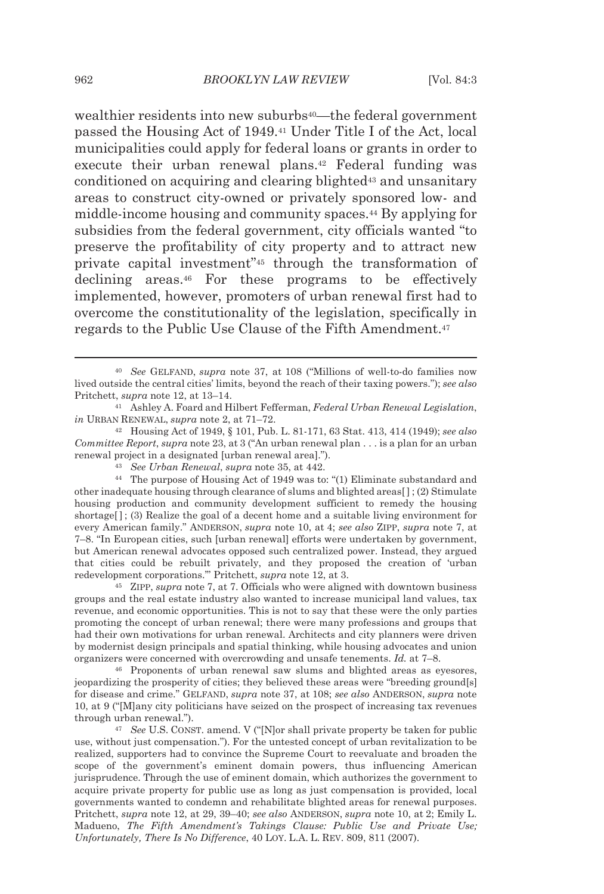wealthier residents into new suburbs<sup>40—the federal government</sup> passed the Housing Act of 1949.41 Under Title I of the Act, local municipalities could apply for federal loans or grants in order to execute their urban renewal plans.<sup>42</sup> Federal funding was conditioned on acquiring and clearing blighted43 and unsanitary areas to construct city-owned or privately sponsored low- and middle-income housing and community spaces.44 By applying for subsidies from the federal government, city officials wanted "to preserve the profitability of city property and to attract new private capital investment"45 through the transformation of declining areas.46 For these programs to be effectively implemented, however, promoters of urban renewal first had to overcome the constitutionality of the legislation, specifically in regards to the Public Use Clause of the Fifth Amendment.47

*Committee Report*, *supra* note 23, at 3 ("An urban renewal plan . . . is a plan for an urban renewal project in a designated [urban renewal area]."). 43 *See Urban Renewal*, *supra* note 35, at 442. 44 The purpose of Housing Act of 1949 was to: "(1) Eliminate substandard and

groups and the real estate industry also wanted to increase municipal land values, tax revenue, and economic opportunities. This is not to say that these were the only parties promoting the concept of urban renewal; there were many professions and groups that had their own motivations for urban renewal. Architects and city planners were driven by modernist design principals and spatial thinking, while housing advocates and union organizers were concerned with overcrowding and unsafe tenements. *Id.* at 7–8. 46 Proponents of urban renewal saw slums and blighted areas as eyesores,

jeopardizing the prosperity of cities; they believed these areas were "breeding ground[s] for disease and crime." GELFAND, *supra* note 37, at 108; *see also* ANDERSON, *supra* note 10, at 9 ("[M]any city politicians have seized on the prospect of increasing tax revenues through urban renewal."). 47 *See* U.S. CONST. amend. V ("[N]or shall private property be taken for public

use, without just compensation."). For the untested concept of urban revitalization to be realized, supporters had to convince the Supreme Court to reevaluate and broaden the scope of the government's eminent domain powers, thus influencing American jurisprudence. Through the use of eminent domain, which authorizes the government to acquire private property for public use as long as just compensation is provided, local governments wanted to condemn and rehabilitate blighted areas for renewal purposes. Pritchett, *supra* note 12, at 29, 39–40; *see also* ANDERSON, *supra* note 10, at 2; Emily L. Madueno, *The Fifth Amendment's Takings Clause: Public Use and Private Use; Unfortunately, There Is No Difference*, 40 LOY. L.A. L. REV. 809, 811 (2007).

<sup>40</sup> *See* GELFAND, *supra* note 37, at 108 ("Millions of well-to-do families now lived outside the central cities' limits, beyond the reach of their taxing powers."); *see also*  Pritchett, *supra* note 12, at 13–14. 41 Ashley A. Foard and Hilbert Fefferman, *Federal Urban Renewal Legislation*,

*in* URBAN RENEWAL, *supra* note 2, at 71–72. 42 Housing Act of 1949, § 101, Pub. L. 81-171, 63 Stat. 413, 414 (1949); *see also* 

other inadequate housing through clearance of slums and blighted areas[ ] ; (2) Stimulate housing production and community development sufficient to remedy the housing shortage $[ ]$ ; (3) Realize the goal of a decent home and a suitable living environment for every American family." ANDERSON, *supra* note 10, at 4; *see also* ZIPP, *supra* note 7, at 7–8. "In European cities, such [urban renewal] efforts were undertaken by government, but American renewal advocates opposed such centralized power. Instead, they argued that cities could be rebuilt privately, and they proposed the creation of 'urban redevelopment corporations.'" Pritchett, *supra* note 12, at 3. 45 ZIPP, *supra* note 7, at 7. Officials who were aligned with downtown business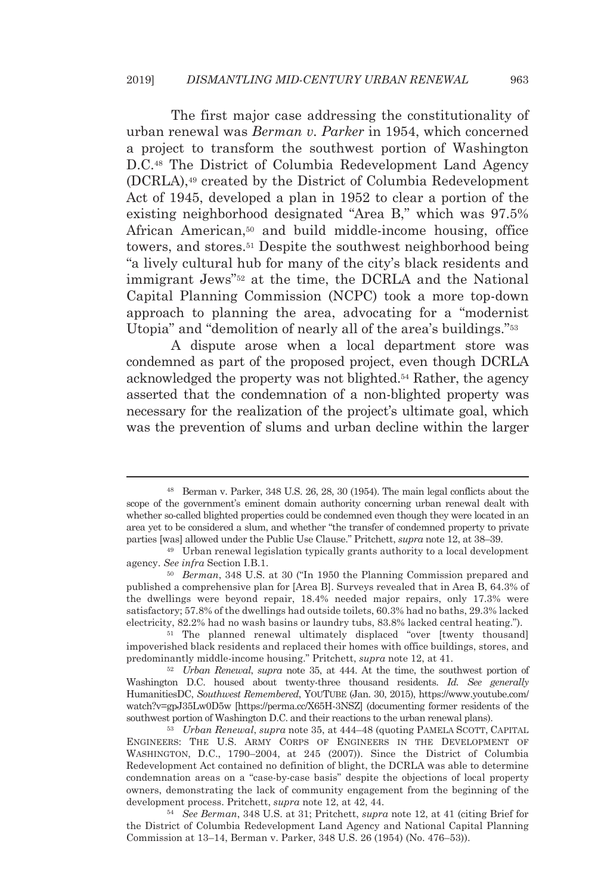The first major case addressing the constitutionality of urban renewal was *Berman v. Parker* in 1954, which concerned a project to transform the southwest portion of Washington D.C.48 The District of Columbia Redevelopment Land Agency (DCRLA),49 created by the District of Columbia Redevelopment Act of 1945, developed a plan in 1952 to clear a portion of the existing neighborhood designated "Area B," which was 97.5% African American,<sup>50</sup> and build middle-income housing, office towers, and stores.51 Despite the southwest neighborhood being "a lively cultural hub for many of the city's black residents and immigrant Jews"52 at the time, the DCRLA and the National Capital Planning Commission (NCPC) took a more top-down approach to planning the area, advocating for a "modernist Utopia" and "demolition of nearly all of the area's buildings."53

A dispute arose when a local department store was condemned as part of the proposed project, even though DCRLA acknowledged the property was not blighted.54 Rather, the agency asserted that the condemnation of a non-blighted property was necessary for the realization of the project's ultimate goal, which was the prevention of slums and urban decline within the larger

<sup>48</sup> Berman v. Parker, 348 U.S. 26, 28, 30 (1954). The main legal conflicts about the scope of the government's eminent domain authority concerning urban renewal dealt with whether so-called blighted properties could be condemned even though they were located in an area yet to be considered a slum, and whether "the transfer of condemned property to private parties [was] allowed under the Public Use Clause." Pritchett, *supra* note 12, at 38–39.<br><sup>49</sup> Urban renewal legislation typically grants authority to a local development

agency. *See infra* Section I.B.1.<br><sup>50</sup> *Berman*, 348 U.S. at 30 ("In 1950 the Planning Commission prepared and

published a comprehensive plan for [Area B]. Surveys revealed that in Area B, 64.3% of the dwellings were beyond repair, 18.4% needed major repairs, only 17.3% were satisfactory; 57.8% of the dwellings had outside toilets, 60.3% had no baths, 29.3% lacked electricity, 82.2% had no wash basins or laundry tubs, 83.8% lacked central heating."). 51 The planned renewal ultimately displaced "over [twenty thousand]

impoverished black residents and replaced their homes with office buildings, stores, and predominantly middle-income housing." Pritchett, *supra* note 12, at 41. 52 *Urban Renewal*, *supra* note 35, at 444. At the time, the southwest portion of

Washington D.C. housed about twenty-three thousand residents. *Id. See generally* HumanitiesDC, *Southwest Remembered*, YOUTUBE (Jan. 30, 2015), https://www.youtube.com/ watch?v=gpJ35Lw0D5w [https://perma.cc/X65H-3NSZ] (documenting former residents of the southwest portion of Washington D.C. and their reactions to the urban renewal plans). 53 *Urban Renewal*, *supra* note 35, at 444–48 (quoting PAMELA SCOTT, CAPITAL

ENGINEERS: THE U.S. ARMY CORPS OF ENGINEERS IN THE DEVELOPMENT OF WASHINGTON, D.C., 1790–2004, at 245 (2007)). Since the District of Columbia Redevelopment Act contained no definition of blight, the DCRLA was able to determine condemnation areas on a "case-by-case basis" despite the objections of local property owners, demonstrating the lack of community engagement from the beginning of the development process. Pritchett, *supra* note 12, at 42, 44.<br><sup>54</sup> See Berman, 348 U.S. at 31; Pritchett, *supra* note 12, at 41 (citing Brief for

the District of Columbia Redevelopment Land Agency and National Capital Planning Commission at 13–14, Berman v. Parker, 348 U.S. 26 (1954) (No. 476–53)).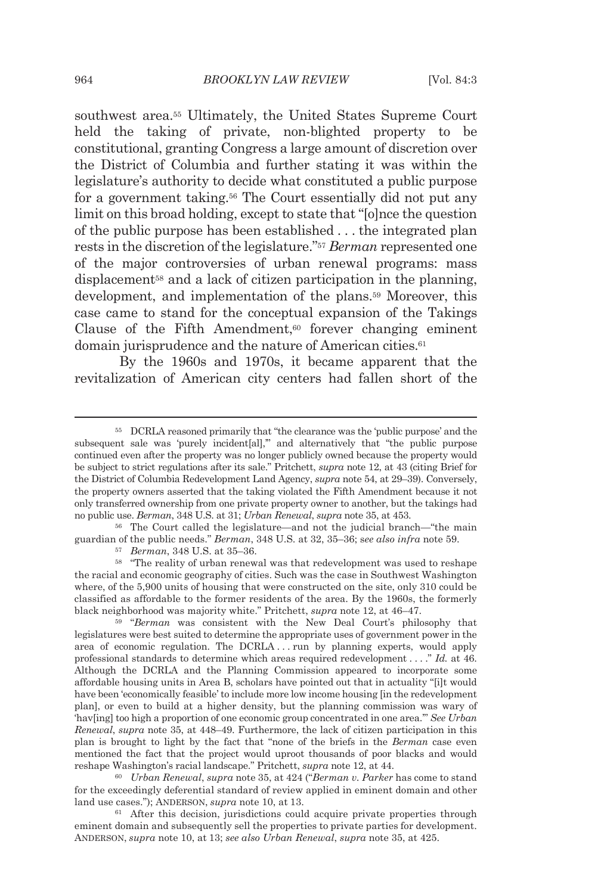southwest area.<sup>55</sup> Ultimately, the United States Supreme Court held the taking of private, non-blighted property to be constitutional, granting Congress a large amount of discretion over the District of Columbia and further stating it was within the legislature's authority to decide what constituted a public purpose for a government taking.56 The Court essentially did not put any limit on this broad holding, except to state that "[o]nce the question of the public purpose has been established . . . the integrated plan rests in the discretion of the legislature."57 *Berman* represented one of the major controversies of urban renewal programs: mass displacement<sup>58</sup> and a lack of citizen participation in the planning, development, and implementation of the plans.59 Moreover, this case came to stand for the conceptual expansion of the Takings Clause of the Fifth Amendment, $60$  forever changing eminent domain jurisprudence and the nature of American cities.61

By the 1960s and 1970s, it became apparent that the revitalization of American city centers had fallen short of the

eminent domain and subsequently sell the properties to private parties for development. ANDERSON, *supra* note 10, at 13; *see also Urban Renewal*, *supra* note 35, at 425.

<sup>55</sup> DCRLA reasoned primarily that "the clearance was the 'public purpose' and the subsequent sale was 'purely incident[al],'" and alternatively that "the public purpose continued even after the property was no longer publicly owned because the property would be subject to strict regulations after its sale." Pritchett, *supra* note 12, at 43 (citing Brief for the District of Columbia Redevelopment Land Agency, *supra* note 54, at 29–39). Conversely, the property owners asserted that the taking violated the Fifth Amendment because it not only transferred ownership from one private property owner to another, but the takings had no public use. *Berman*, 348 U.S. at 31; *Urban Renewal*, *supra* note 35, at 453. 56 The Court called the legislature—and not the judicial branch—"the main

guardian of the public needs." *Berman*, 348 U.S. at 32, 35–36; s*ee also infra* note 59. 57 *Berman*, 348 U.S. at 35–36. 58 "The reality of urban renewal was that redevelopment was used to reshape

the racial and economic geography of cities. Such was the case in Southwest Washington where, of the 5,900 units of housing that were constructed on the site, only 310 could be classified as affordable to the former residents of the area. By the 1960s, the formerly

black neighborhood was majority white." Pritchett, *supra* note 12, at 46–47. 59 "*Berman* was consistent with the New Deal Court's philosophy that legislatures were best suited to determine the appropriate uses of government power in the area of economic regulation. The DCRLA . . . run by planning experts, would apply professional standards to determine which areas required redevelopment . . . ." *Id.* at 46. Although the DCRLA and the Planning Commission appeared to incorporate some affordable housing units in Area B, scholars have pointed out that in actuality "[i]t would have been 'economically feasible' to include more low income housing [in the redevelopment plan], or even to build at a higher density, but the planning commission was wary of 'hav[ing] too high a proportion of one economic group concentrated in one area.'" *See Urban Renewal*, *supra* note 35, at 448–49. Furthermore, the lack of citizen participation in this plan is brought to light by the fact that "none of the briefs in the *Berman* case even mentioned the fact that the project would uproot thousands of poor blacks and would reshape Washington's racial landscape." Pritchett, *supra* note 12, at 44. 60 *Urban Renewal*, *supra* note 35, at 424 ("*Berman v. Parker* has come to stand

for the exceedingly deferential standard of review applied in eminent domain and other land use cases."); ANDERSON, *supra* note 10, at 13.<br><sup>61</sup> After this decision, jurisdictions could acquire private properties through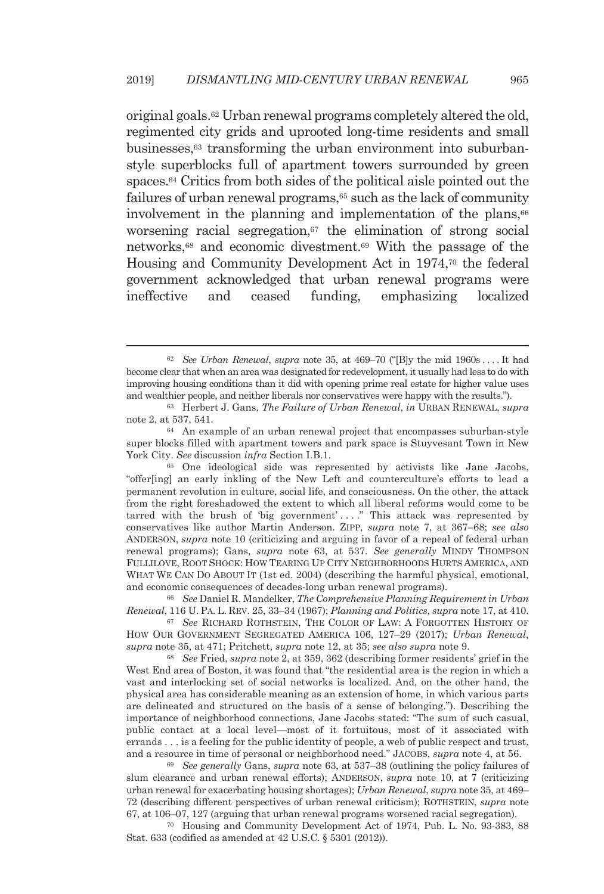original goals.62 Urban renewal programs completely altered the old, regimented city grids and uprooted long-time residents and small businesses,63 transforming the urban environment into suburbanstyle superblocks full of apartment towers surrounded by green spaces.64 Critics from both sides of the political aisle pointed out the failures of urban renewal programs,<sup>65</sup> such as the lack of community involvement in the planning and implementation of the plans, $66$ worsening racial segregation,<sup>67</sup> the elimination of strong social networks,68 and economic divestment.69 With the passage of the Housing and Community Development Act in 1974,<sup>70</sup> the federal government acknowledged that urban renewal programs were ineffective and ceased funding, emphasizing localized

*Renewal*, 116 U. PA. L. REV. 25, 33–34 (1967); *Planning and Politics*, *supra* note 17, at 410. 67 *See* RICHARD ROTHSTEIN, THE COLOR OF LAW: <sup>A</sup> FORGOTTEN HISTORY OF

HOW OUR GOVERNMENT SEGREGATED AMERICA 106, 127–29 (2017); *Urban Renewal*, *supra* note 35, at 471; Pritchett, *supra* note 12, at 35; *see also supra* note 9. 68 *See* Fried, *supra* note 2, at 359, 362 (describing former residents' grief in the

West End area of Boston, it was found that "the residential area is the region in which a vast and interlocking set of social networks is localized. And, on the other hand, the physical area has considerable meaning as an extension of home, in which various parts are delineated and structured on the basis of a sense of belonging."). Describing the importance of neighborhood connections, Jane Jacobs stated: "The sum of such casual, public contact at a local level—most of it fortuitous, most of it associated with errands . . . is a feeling for the public identity of people, a web of public respect and trust, and a resource in time of personal or neighborhood need." JACOBS, *supra* note 4, at 56.<br><sup>69</sup> See generally Gans, *supra* note 63, at 537–38 (outlining the policy failures of

slum clearance and urban renewal efforts); ANDERSON, *supra* note 10, at 7 (criticizing urban renewal for exacerbating housing shortages); *Urban Renewal*, *supra* note 35, at 469– 72 (describing different perspectives of urban renewal criticism); ROTHSTEIN, *supra* note 67, at 106–07, 127 (arguing that urban renewal programs worsened racial segregation). 70 Housing and Community Development Act of 1974, Pub. L. No. 93-383, 88

Stat. 633 (codified as amended at 42 U.S.C. § 5301 (2012)).

<sup>62</sup> *See Urban Renewal*, *supra* note 35, at 469–70 ("[B]y the mid 1960s . . . . It had become clear that when an area was designated for redevelopment, it usually had less to do with improving housing conditions than it did with opening prime real estate for higher value uses and wealthier people, and neither liberals nor conservatives were happy with the results."). 63 Herbert J. Gans, *The Failure of Urban Renewal*, *in* URBAN RENEWAL, *supra* 

note 2, at 537, 541.<br> $64$  An example of an urban renewal project that encompasses suburban-style

super blocks filled with apartment towers and park space is Stuyvesant Town in New York City. *See* discussion *infra* Section I.B.1.<br><sup>65</sup> One ideological side was represented by activists like Jane Jacobs,

<sup>&</sup>quot;offer[ing] an early inkling of the New Left and counterculture's efforts to lead a permanent revolution in culture, social life, and consciousness. On the other, the attack from the right foreshadowed the extent to which all liberal reforms would come to be tarred with the brush of 'big government' . . . ." This attack was represented by conservatives like author Martin Anderson. ZIPP, *supra* note 7, at 367–68; *see also* ANDERSON, *supra* note 10 (criticizing and arguing in favor of a repeal of federal urban renewal programs); Gans, *supra* note 63, at 537. *See generally* MINDY THOMPSON FULLILOVE, ROOT SHOCK: HOW TEARING UP CITY NEIGHBORHOODS HURTS AMERICA, AND WHAT WE CAN DO ABOUT IT (1st ed. 2004) (describing the harmful physical, emotional, and economic consequences of decades-long urban renewal programs). 66 *See* Daniel R. Mandelker, *The Comprehensive Planning Requirement in Urban*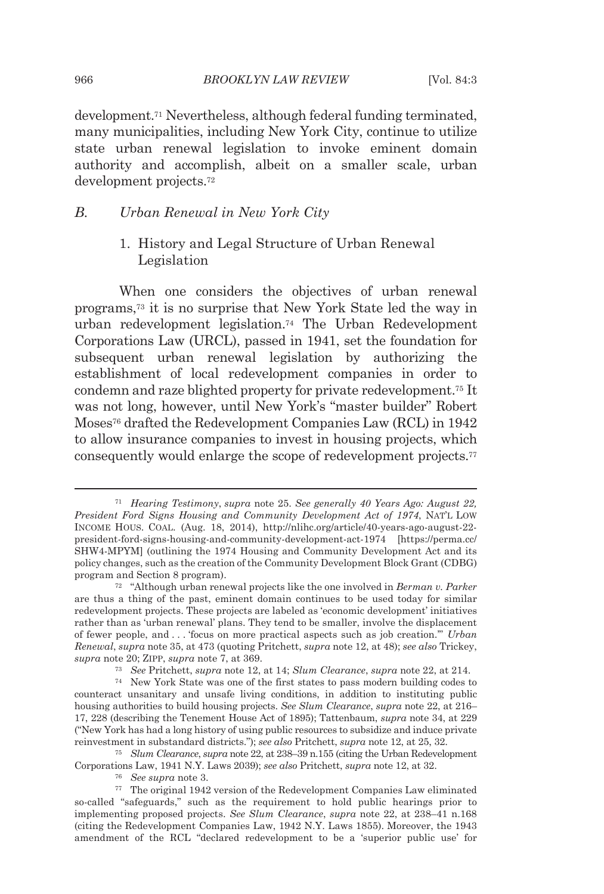development.71 Nevertheless, although federal funding terminated, many municipalities, including New York City, continue to utilize state urban renewal legislation to invoke eminent domain authority and accomplish, albeit on a smaller scale, urban development projects.72

#### *B. Urban Renewal in New York City*

# 1. History and Legal Structure of Urban Renewal Legislation

When one considers the objectives of urban renewal programs,73 it is no surprise that New York State led the way in urban redevelopment legislation.74 The Urban Redevelopment Corporations Law (URCL), passed in 1941, set the foundation for subsequent urban renewal legislation by authorizing the establishment of local redevelopment companies in order to condemn and raze blighted property for private redevelopment.75 It was not long, however, until New York's "master builder" Robert Moses76 drafted the Redevelopment Companies Law (RCL) in 1942 to allow insurance companies to invest in housing projects, which consequently would enlarge the scope of redevelopment projects.77

<sup>71</sup> *Hearing Testimony*, *supra* note 25. *See generally 40 Years Ago: August 22, President Ford Signs Housing and Community Development Act of 1974*, NAT'L LOW INCOME HOUS. COAL. (Aug. 18, 2014), http://nlihc.org/article/40-years-ago-august-22 president-ford-signs-housing-and-community-development-act-1974 [https://perma.cc/ SHW4-MPYM] (outlining the 1974 Housing and Community Development Act and its policy changes, such as the creation of the Community Development Block Grant (CDBG) program and Section 8 program). 72 "Although urban renewal projects like the one involved in *Berman v. Parker*

are thus a thing of the past, eminent domain continues to be used today for similar redevelopment projects. These projects are labeled as 'economic development' initiatives rather than as 'urban renewal' plans. They tend to be smaller, involve the displacement of fewer people, and . . . 'focus on more practical aspects such as job creation.'" *Urban Renewal*, *supra* note 35, at 473 (quoting Pritchett, *supra* note 12, at 48); *see also* Trickey, supra note 20; ZIPP, supra note 7, at 369.<br><sup>73</sup> See Pritchett, supra note 12, at 14; Slum Clearance, supra note 22, at 214.<br><sup>74</sup> New York State was one of the first states to pass modern building codes to

counteract unsanitary and unsafe living conditions, in addition to instituting public housing authorities to build housing projects. *See Slum Clearance*, *supra* note 22, at 216– 17, 228 (describing the Tenement House Act of 1895); Tattenbaum, *supra* note 34, at 229 ("New York has had a long history of using public resources to subsidize and induce private reinvestment in substandard districts."); *see also* Pritchett, *supra* note 12, at 25, 32. 75 *Slum Clearance*, *supra* note 22, at 238–39 n.155 (citing the Urban Redevelopment

Corporations Law, 1941 N.Y. Laws 2039); *see also* Pritchett, *supra* note 12, at 32. 76 *See supra* note 3. 77 The original 1942 version of the Redevelopment Companies Law eliminated

so-called "safeguards," such as the requirement to hold public hearings prior to implementing proposed projects. *See Slum Clearance*, *supra* note 22, at 238–41 n.168 (citing the Redevelopment Companies Law, 1942 N.Y. Laws 1855). Moreover, the 1943 amendment of the RCL "declared redevelopment to be a 'superior public use' for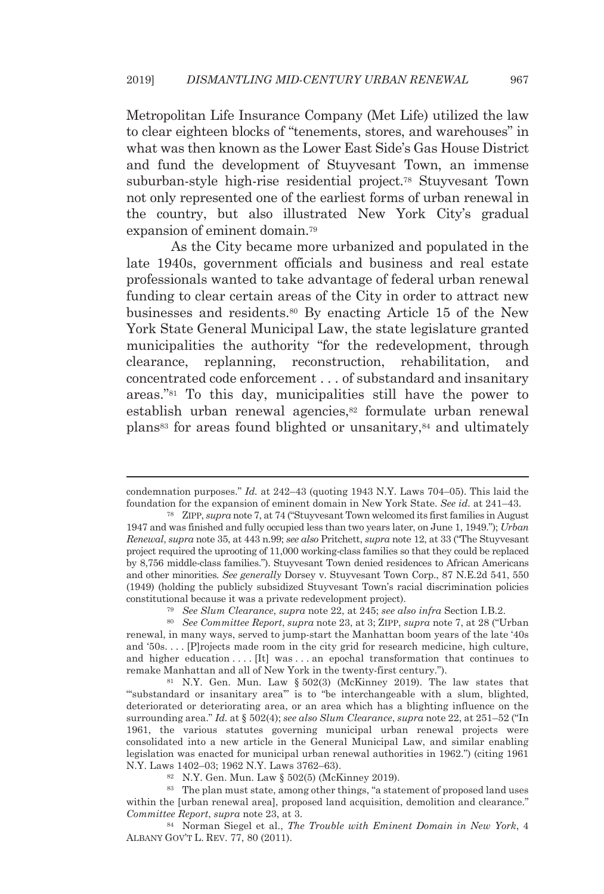Metropolitan Life Insurance Company (Met Life) utilized the law to clear eighteen blocks of "tenements, stores, and warehouses" in what was then known as the Lower East Side's Gas House District and fund the development of Stuyvesant Town, an immense suburban-style high-rise residential project.78 Stuyvesant Town not only represented one of the earliest forms of urban renewal in the country, but also illustrated New York City's gradual expansion of eminent domain.79

As the City became more urbanized and populated in the late 1940s, government officials and business and real estate professionals wanted to take advantage of federal urban renewal funding to clear certain areas of the City in order to attract new businesses and residents.80 By enacting Article 15 of the New York State General Municipal Law, the state legislature granted municipalities the authority "for the redevelopment, through clearance, replanning, reconstruction, rehabilitation, and concentrated code enforcement . . . of substandard and insanitary areas."81 To this day, municipalities still have the power to establish urban renewal agencies,<sup>82</sup> formulate urban renewal plans83 for areas found blighted or unsanitary,84 and ultimately

condemnation purposes." *Id.* at 242–43 (quoting 1943 N.Y. Laws 704–05). This laid the foundation for the expansion of eminent domain in New York State. *See id.* at 241–43. 78 ZIPP, *supra* note 7, at 74 ("Stuyvesant Town welcomed its first families in August

<sup>1947</sup> and was finished and fully occupied less than two years later, on June 1, 1949."); *Urban Renewal*, *supra* note 35, at 443 n.99; *see also* Pritchett, *supra* note 12, at 33 ("The Stuyvesant project required the uprooting of 11,000 working-class families so that they could be replaced by 8,756 middle-class families."). Stuyvesant Town denied residences to African Americans and other minorities*. See generally* Dorsey v. Stuyvesant Town Corp., 87 N.E.2d 541, 550 (1949) (holding the publicly subsidized Stuyvesant Town's racial discrimination policies constitutional because it was a private redevelopment project).<br><sup>79</sup> See Slum Clearance, supra note 22, at 245; see also infra Section I.B.2.<br><sup>80</sup> See Committee Report, supra note 23, at 3: ZIPP, supra note 7, at 28 ("Urba

renewal, in many ways, served to jump-start the Manhattan boom years of the late '40s and '50s. . . . [P]rojects made room in the city grid for research medicine, high culture, and higher education  $\dots$  [It] was  $\dots$  an epochal transformation that continues to remake Manhattan and all of New York in the twenty-first century."). 81 N.Y. Gen. Mun. Law § 502(3) (McKinney 2019). The law states that

<sup>&</sup>quot;'substandard or insanitary area'" is to "be interchangeable with a slum, blighted, deteriorated or deteriorating area, or an area which has a blighting influence on the surrounding area." *Id.* at § 502(4); *see also Slum Clearance*, *supra* note 22, at 251–52 ("In 1961, the various statutes governing municipal urban renewal projects were consolidated into a new article in the General Municipal Law, and similar enabling legislation was enacted for municipal urban renewal authorities in 1962.") (citing 1961 N.Y. Laws 1402–03; 1962 N.Y. Laws 3762–63).<br><sup>82</sup> N.Y. Gen. Mun. Law § 502(5) (McKinney 2019).

<sup>83</sup> The plan must state, among other things, "a statement of proposed land uses within the [urban renewal area], proposed land acquisition, demolition and clearance." *Committee Report, supra* note 23, at 3.<br><sup>84</sup> Norman Siegel et al., *The Trouble with Eminent Domain in New York*, 4

ALBANY GOV'T L. REV. 77, 80 (2011).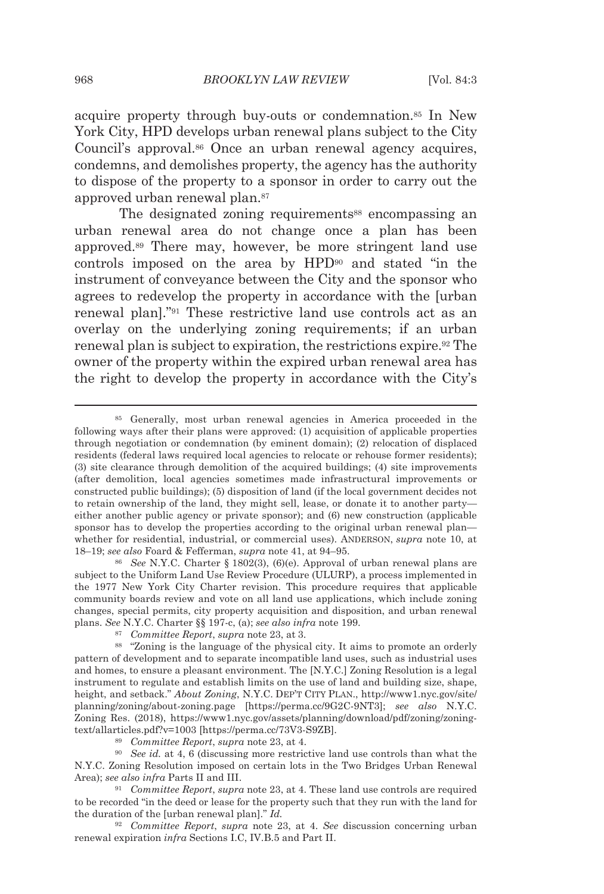acquire property through buy-outs or condemnation.85 In New York City, HPD develops urban renewal plans subject to the City Council's approval.<sup>86</sup> Once an urban renewal agency acquires, condemns, and demolishes property, the agency has the authority to dispose of the property to a sponsor in order to carry out the approved urban renewal plan.87

The designated zoning requirements<sup>88</sup> encompassing an urban renewal area do not change once a plan has been approved.89 There may, however, be more stringent land use controls imposed on the area by HPD90 and stated "in the instrument of conveyance between the City and the sponsor who agrees to redevelop the property in accordance with the [urban renewal plan]."91 These restrictive land use controls act as an overlay on the underlying zoning requirements; if an urban renewal plan is subject to expiration, the restrictions expire.92 The owner of the property within the expired urban renewal area has the right to develop the property in accordance with the City's

<sup>92</sup> *Committee Report*, *supra* note 23, at 4. *See* discussion concerning urban renewal expiration *infra* Sections I.C, IV.B.5 and Part II.

<sup>85</sup> Generally, most urban renewal agencies in America proceeded in the following ways after their plans were approved: (1) acquisition of applicable properties through negotiation or condemnation (by eminent domain); (2) relocation of displaced residents (federal laws required local agencies to relocate or rehouse former residents); (3) site clearance through demolition of the acquired buildings; (4) site improvements (after demolition, local agencies sometimes made infrastructural improvements or constructed public buildings); (5) disposition of land (if the local government decides not to retain ownership of the land, they might sell, lease, or donate it to another party either another public agency or private sponsor); and (6) new construction (applicable sponsor has to develop the properties according to the original urban renewal plan whether for residential, industrial, or commercial uses). ANDERSON, *supra* note 10, at 18–19; *see also* Foard & Fefferman, *supra* note 41, at 94–95. 86 *See* N.Y.C. Charter § 1802(3), (6)(e). Approval of urban renewal plans are

subject to the Uniform Land Use Review Procedure (ULURP), a process implemented in the 1977 New York City Charter revision. This procedure requires that applicable community boards review and vote on all land use applications, which include zoning changes, special permits, city property acquisition and disposition, and urban renewal plans. *See* N.Y.C. Charter §§ 197-c, (a); *see also infra* note 199.<br><sup>87</sup> *Committee Report*, *supra* note 23, at 3.<br><sup>88</sup> "Zoning is the language of the physical city. It aims to promote an orderly

pattern of development and to separate incompatible land uses, such as industrial uses and homes, to ensure a pleasant environment. The [N.Y.C.] Zoning Resolution is a legal instrument to regulate and establish limits on the use of land and building size, shape, height, and setback." *About Zoning*, N.Y.C. DEP'T CITY PLAN., http://www1.nyc.gov/site/ planning/zoning/about-zoning.page [https://perma.cc/9G2C-9NT3]; *see also* N.Y.C. Zoning Res. (2018), https://www1.nyc.gov/assets/planning/download/pdf/zoning/zoningtext/allarticles.pdf?v=1003 [https://perma.cc/73V3-S9ZB].<br><sup>89</sup> *Committee Report, supra* note 23, at 4.<br><sup>90</sup> *See id.* at 4, 6 (discussing more restrictive land use controls than what the

N.Y.C. Zoning Resolution imposed on certain lots in the Two Bridges Urban Renewal Area); *see also infra* Parts II and III.<br><sup>91</sup> Committee Report, *supra* note 23, at 4. These land use controls are required

to be recorded "in the deed or lease for the property such that they run with the land for the duration of the [urban renewal plan]." *Id.*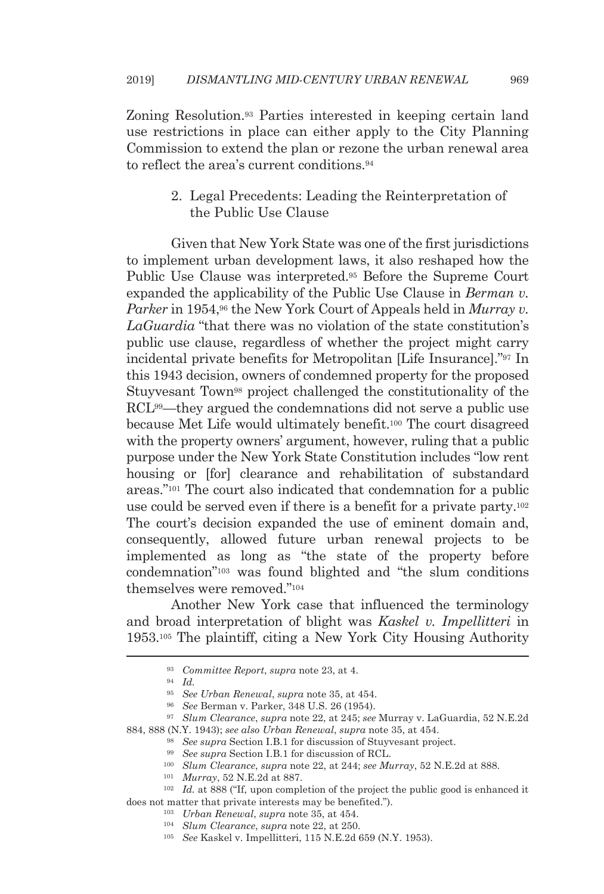Zoning Resolution.93 Parties interested in keeping certain land use restrictions in place can either apply to the City Planning Commission to extend the plan or rezone the urban renewal area to reflect the area's current conditions.94

> 2. Legal Precedents: Leading the Reinterpretation of the Public Use Clause

Given that New York State was one of the first jurisdictions to implement urban development laws, it also reshaped how the Public Use Clause was interpreted.95 Before the Supreme Court expanded the applicability of the Public Use Clause in *Berman v. Parker* in 1954,96 the New York Court of Appeals held in *Murray v. LaGuardia* "that there was no violation of the state constitution's public use clause, regardless of whether the project might carry incidental private benefits for Metropolitan [Life Insurance]."97 In this 1943 decision, owners of condemned property for the proposed Stuyvesant Town98 project challenged the constitutionality of the RCL99—they argued the condemnations did not serve a public use because Met Life would ultimately benefit.100 The court disagreed with the property owners' argument, however, ruling that a public purpose under the New York State Constitution includes "low rent housing or [for] clearance and rehabilitation of substandard areas."101 The court also indicated that condemnation for a public use could be served even if there is a benefit for a private party.102 The court's decision expanded the use of eminent domain and, consequently, allowed future urban renewal projects to be implemented as long as "the state of the property before condemnation"103 was found blighted and "the slum conditions themselves were removed."104

Another New York case that influenced the terminology and broad interpretation of blight was *Kaskel v. Impellitteri* in 1953.105 The plaintiff, citing a New York City Housing Authority

<sup>93</sup> *Committee Report*, *supra* note 23, at 4. 94 *Id.* 

<sup>95</sup> *See Urban Renewal*, *supra* note 35, at 454. 96 *See* Berman v. Parker, 348 U.S. 26 (1954). 97 *Slum Clearance*, *supra* note 22, at 245; *see* Murray v. LaGuardia, 52 N.E.2d 884, 888 (N.Y. 1943); see also Urban Renewal, supra note 35, at 454.<br><sup>98</sup> See supra Section I.B.1 for discussion of Stuyvesant project.<br><sup>99</sup> See supra Section I.B.1 for discussion of RCL.<br><sup>99</sup> See supra Section I.B.1 for

does not matter that private interests may be benefited.").<br>
<sup>103</sup> *Urban Renewal, supra* note 35, at 454.<br>
<sup>104</sup> *Slum Clearance, supra* note 22, at 250.<br>
<sup>105</sup> *See* Kaskel v. Impellitteri. 115 N.E.2d 659 (N.Y. 1953).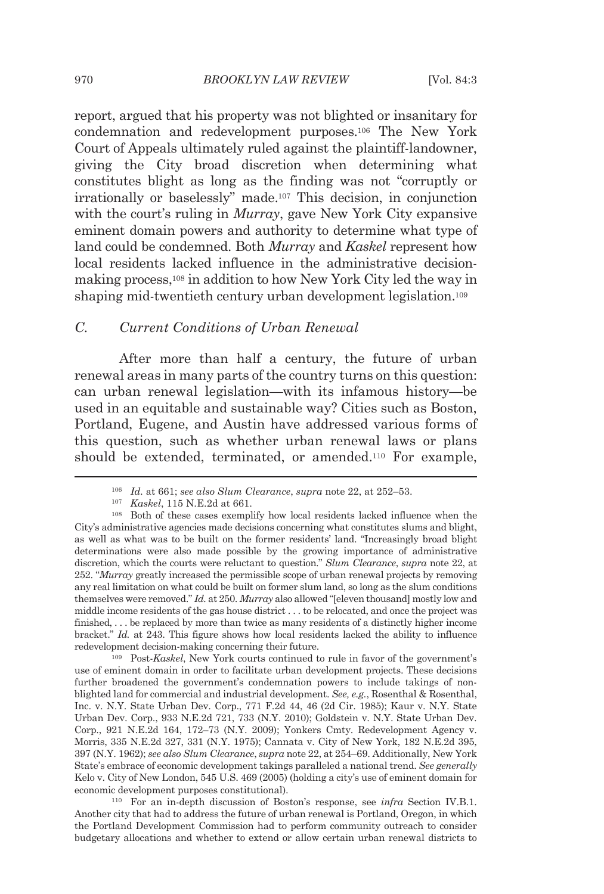report, argued that his property was not blighted or insanitary for condemnation and redevelopment purposes.106 The New York Court of Appeals ultimately ruled against the plaintiff-landowner, giving the City broad discretion when determining what constitutes blight as long as the finding was not "corruptly or irrationally or baselessly" made.107 This decision, in conjunction with the court's ruling in *Murray*, gave New York City expansive eminent domain powers and authority to determine what type of land could be condemned. Both *Murray* and *Kaskel* represent how local residents lacked influence in the administrative decisionmaking process,108 in addition to how New York City led the way in shaping mid-twentieth century urban development legislation.<sup>109</sup>

# *C. Current Conditions of Urban Renewal*

After more than half a century, the future of urban renewal areas in many parts of the country turns on this question: can urban renewal legislation—with its infamous history—be used in an equitable and sustainable way? Cities such as Boston, Portland, Eugene, and Austin have addressed various forms of this question, such as whether urban renewal laws or plans should be extended, terminated, or amended.110 For example,

use of eminent domain in order to facilitate urban development projects. These decisions further broadened the government's condemnation powers to include takings of nonblighted land for commercial and industrial development. *See, e.g.*, Rosenthal & Rosenthal, Inc. v. N.Y. State Urban Dev. Corp., 771 F.2d 44, 46 (2d Cir. 1985); Kaur v. N.Y. State Urban Dev. Corp., 933 N.E.2d 721, 733 (N.Y. 2010); Goldstein v. N.Y. State Urban Dev. Corp., 921 N.E.2d 164, 172–73 (N.Y. 2009); Yonkers Cmty. Redevelopment Agency v. Morris, 335 N.E.2d 327, 331 (N.Y. 1975); Cannata v. City of New York, 182 N.E.2d 395, 397 (N.Y. 1962); *see also Slum Clearance*, *supra* note 22, at 254–69. Additionally, New York State's embrace of economic development takings paralleled a national trend. *See generally* Kelo v. City of New London, 545 U.S. 469 (2005) (holding a city's use of eminent domain for economic development purposes constitutional). 110 For an in-depth discussion of Boston's response, see *infra* Section IV.B.1.

Another city that had to address the future of urban renewal is Portland, Oregon, in which the Portland Development Commission had to perform community outreach to consider budgetary allocations and whether to extend or allow certain urban renewal districts to

<sup>&</sup>lt;sup>106</sup> Id. at 661; *see also Slum Clearance*, *supra* note 22, at 252–53.<br><sup>107</sup> Kaskel, 115 N.E.2d at 661.<br><sup>108</sup> Both of these cases exemplify how local residents lacked influence when the City's administrative agencies made decisions concerning what constitutes slums and blight, as well as what was to be built on the former residents' land. "Increasingly broad blight determinations were also made possible by the growing importance of administrative discretion, which the courts were reluctant to question." *Slum Clearance*, *supra* note 22, at 252. "*Murray* greatly increased the permissible scope of urban renewal projects by removing any real limitation on what could be built on former slum land, so long as the slum conditions themselves were removed." *Id.* at 250. *Murray* also allowed "[eleven thousand] mostly low and middle income residents of the gas house district . . . to be relocated, and once the project was finished, . . . be replaced by more than twice as many residents of a distinctly higher income bracket." *Id.* at 243. This figure shows how local residents lacked the ability to influence redevelopment decision-making concerning their future. 109 Post-*Kaskel*, New York courts continued to rule in favor of the government's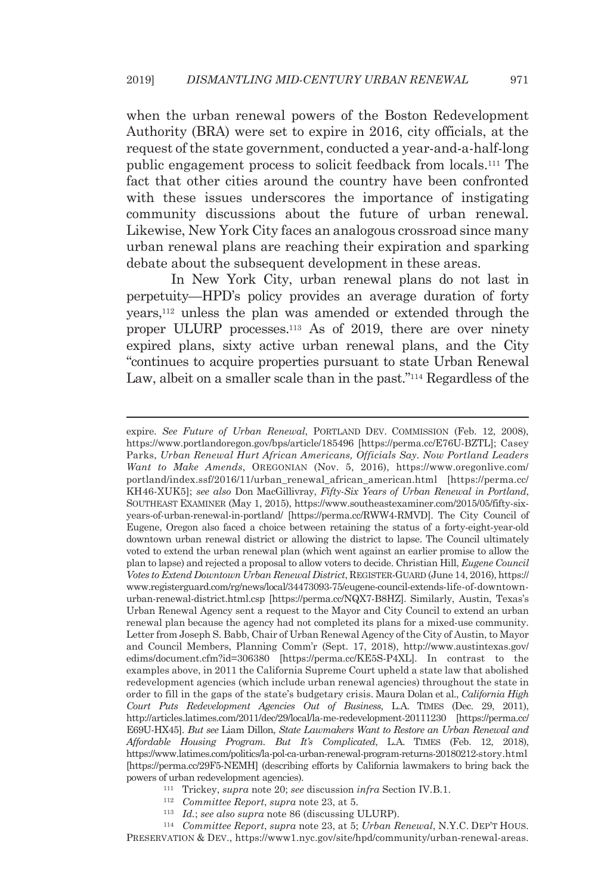when the urban renewal powers of the Boston Redevelopment Authority (BRA) were set to expire in 2016, city officials, at the request of the state government, conducted a year-and-a-half-long public engagement process to solicit feedback from locals.111 The fact that other cities around the country have been confronted with these issues underscores the importance of instigating community discussions about the future of urban renewal. Likewise, New York City faces an analogous crossroad since many urban renewal plans are reaching their expiration and sparking debate about the subsequent development in these areas.

In New York City, urban renewal plans do not last in perpetuity—HPD's policy provides an average duration of forty years,112 unless the plan was amended or extended through the proper ULURP processes.113 As of 2019, there are over ninety expired plans, sixty active urban renewal plans, and the City "continues to acquire properties pursuant to state Urban Renewal Law, albeit on a smaller scale than in the past."114 Regardless of the

expire. *See Future of Urban Renewal*, PORTLAND DEV. COMMISSION (Feb. 12, 2008), https://www.portlandoregon.gov/bps/article/185496 [https://perma.cc/E76U-BZTL]; Casey Parks, *Urban Renewal Hurt African Americans, Officials Say. Now Portland Leaders Want to Make Amends*, OREGONIAN (Nov. 5, 2016), https://www.oregonlive.com/ portland/index.ssf/2016/11/urban\_renewal\_african\_american.html [https://perma.cc/ KH46-XUK5]; *see also* Don MacGillivray, *Fifty-Six Years of Urban Renewal in Portland*, SOUTHEAST EXAMINER (May 1, 2015), https://www.southeastexaminer.com/2015/05/fifty-sixyears-of-urban-renewal-in-portland/ [https://perma.cc/RWW4-RMVD]. The City Council of Eugene, Oregon also faced a choice between retaining the status of a forty-eight-year-old downtown urban renewal district or allowing the district to lapse. The Council ultimately voted to extend the urban renewal plan (which went against an earlier promise to allow the plan to lapse) and rejected a proposal to allow voters to decide. Christian Hill, *Eugene Council Votes to Extend Downtown Urban Renewal District*, REGISTER-GUARD (June 14, 2016), https:// www.registerguard.com/rg/news/local/34473093-75/eugene-council-extends-life-of-downtownurban-renewal-district.html.csp [https://perma.cc/NQX7-B8HZ]. Similarly, Austin, Texas's Urban Renewal Agency sent a request to the Mayor and City Council to extend an urban renewal plan because the agency had not completed its plans for a mixed-use community. Letter from Joseph S. Babb, Chair of Urban Renewal Agency of the City of Austin, to Mayor and Council Members, Planning Comm'r (Sept. 17, 2018), http://www.austintexas.gov/ edims/document.cfm?id=306380 [https://perma.cc/KE5S-P4XL]. In contrast to the examples above, in 2011 the California Supreme Court upheld a state law that abolished redevelopment agencies (which include urban renewal agencies) throughout the state in order to fill in the gaps of the state's budgetary crisis. Maura Dolan et al., *California High Court Puts Redevelopment Agencies Out of Business*, L.A. TIMES (Dec. 29, 2011), http://articles.latimes.com/2011/dec/29/local/la-me-redevelopment-20111230 [https://perma.cc/ E69U-HX45]. *But see* Liam Dillon, *State Lawmakers Want to Restore an Urban Renewal and Affordable Housing Program. But It's Complicated*, L.A. TIMES (Feb. 12, 2018), https://www.latimes.com/politics/la-pol-ca-urban-renewal-program-returns-20180212-story.html [https://perma.cc/29F5-NEMH] (describing efforts by California lawmakers to bring back the powers of urban redevelopment agencies).<br>
<sup>111</sup> Trickey, *supra* note 20; *see* discussion *infra* Section IV.B.1.<br>
<sup>112</sup> Committee Report, *supra* note 23, at 5.<br>
<sup>113</sup> Id.; *see also supra* note 86 (discussing ULURP).<br>
<sup></sup>

PRESERVATION & DEV., https://www1.nyc.gov/site/hpd/community/urban-renewal-areas.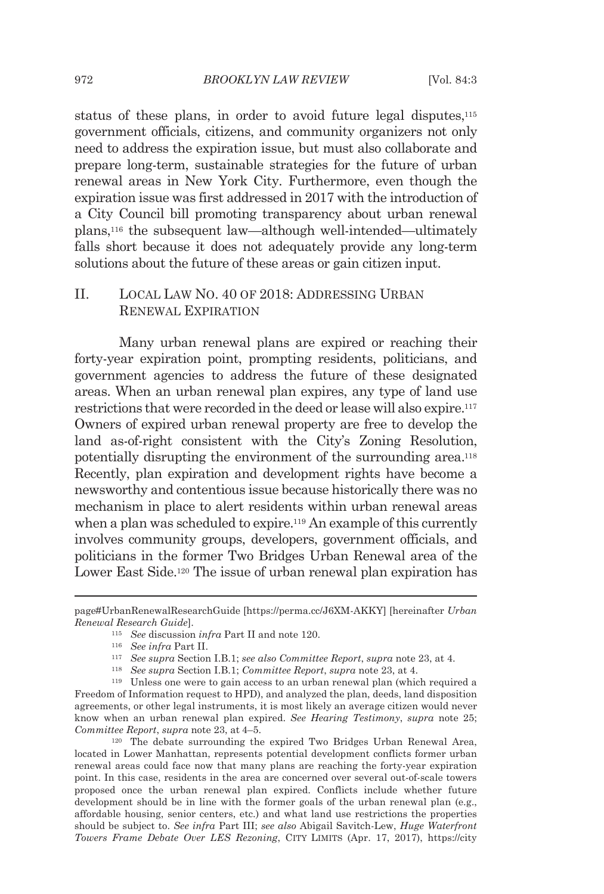status of these plans, in order to avoid future legal disputes, $115$ government officials, citizens, and community organizers not only need to address the expiration issue, but must also collaborate and prepare long-term, sustainable strategies for the future of urban renewal areas in New York City. Furthermore, even though the expiration issue was first addressed in 2017 with the introduction of a City Council bill promoting transparency about urban renewal plans,116 the subsequent law—although well-intended—ultimately falls short because it does not adequately provide any long-term solutions about the future of these areas or gain citizen input.

II. LOCAL LAW NO. 40 OF 2018: ADDRESSING URBAN RENEWAL EXPIRATION

Many urban renewal plans are expired or reaching their forty-year expiration point, prompting residents, politicians, and government agencies to address the future of these designated areas. When an urban renewal plan expires, any type of land use restrictions that were recorded in the deed or lease will also expire.117 Owners of expired urban renewal property are free to develop the land as-of-right consistent with the City's Zoning Resolution, potentially disrupting the environment of the surrounding area.118 Recently, plan expiration and development rights have become a newsworthy and contentious issue because historically there was no mechanism in place to alert residents within urban renewal areas when a plan was scheduled to expire.<sup>119</sup> An example of this currently involves community groups, developers, government officials, and politicians in the former Two Bridges Urban Renewal area of the Lower East Side.<sup>120</sup> The issue of urban renewal plan expiration has

located in Lower Manhattan, represents potential development conflicts former urban renewal areas could face now that many plans are reaching the forty-year expiration point. In this case, residents in the area are concerned over several out-of-scale towers proposed once the urban renewal plan expired. Conflicts include whether future development should be in line with the former goals of the urban renewal plan (e.g., affordable housing, senior centers, etc.) and what land use restrictions the properties should be subject to. *See infra* Part III; *see also* Abigail Savitch-Lew, *Huge Waterfront Towers Frame Debate Over LES Rezoning*, CITY LIMITS (Apr. 17, 2017), https://city

page#UrbanRenewalResearchGuide [https://perma.cc/J6XM-AKKY] [hereinafter *Urban*  Renewal Research Guide].<br>
<sup>115</sup> See discussion infra Part II and note 120.<br>
<sup>116</sup> See infra Part II.<br>
<sup>116</sup> See supra Section I.B.1; see also Committee Report, supra note 23, at 4.<br>
<sup>118</sup> See supra Section I.B.1; Committee

Freedom of Information request to HPD), and analyzed the plan, deeds, land disposition agreements, or other legal instruments, it is most likely an average citizen would never know when an urban renewal plan expired. *See Hearing Testimony*, *supra* note 25; *Committee Report, supra* note 23, at 4–5.<br><sup>120</sup> The debate surrounding the expired Two Bridges Urban Renewal Area,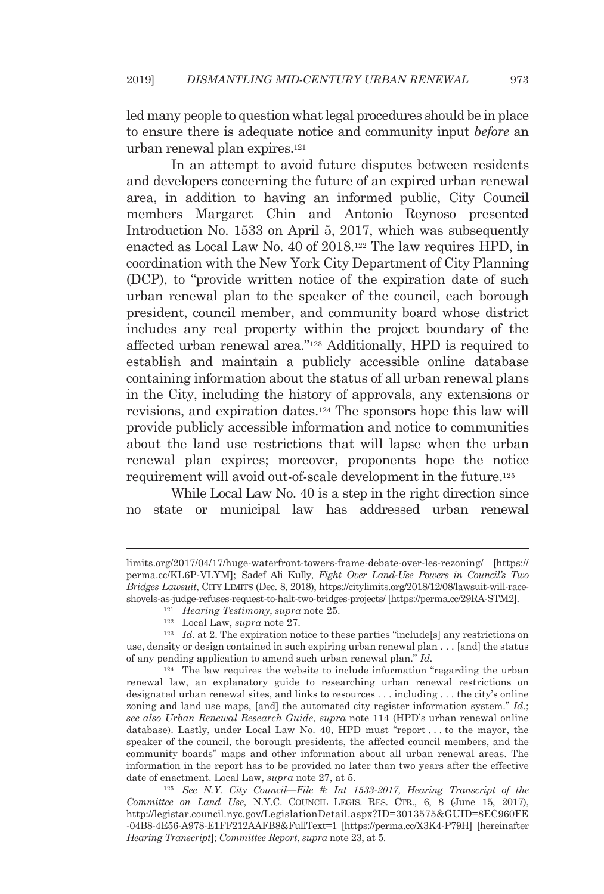led many people to question what legal procedures should be in place to ensure there is adequate notice and community input *before* an urban renewal plan expires.121

In an attempt to avoid future disputes between residents and developers concerning the future of an expired urban renewal area, in addition to having an informed public, City Council members Margaret Chin and Antonio Reynoso presented Introduction No. 1533 on April 5, 2017, which was subsequently enacted as Local Law No. 40 of 2018.122 The law requires HPD, in coordination with the New York City Department of City Planning (DCP), to "provide written notice of the expiration date of such urban renewal plan to the speaker of the council, each borough president, council member, and community board whose district includes any real property within the project boundary of the affected urban renewal area."123 Additionally, HPD is required to establish and maintain a publicly accessible online database containing information about the status of all urban renewal plans in the City, including the history of approvals, any extensions or revisions, and expiration dates.124 The sponsors hope this law will provide publicly accessible information and notice to communities about the land use restrictions that will lapse when the urban renewal plan expires; moreover, proponents hope the notice requirement will avoid out-of-scale development in the future.125

While Local Law No. 40 is a step in the right direction since no state or municipal law has addressed urban renewal

limits.org/2017/04/17/huge-waterfront-towers-frame-debate-over-les-rezoning/ [https:// perma.cc/KL6P-VLYM]; Sadef Ali Kully, *Fight Over Land-Use Powers in Council's Two Bridges Lawsuit*, CITY LIMITS (Dec. 8, 2018), https://citylimits.org/2018/12/08/lawsuit-will-raceshovels-as-judge-refuses-request-to-halt-two-bridges-projects/ [https://perma.cc/29RA-STM2].<br><sup>121</sup> *Hearing Testimony, supra* note 25.<br><sup>122</sup> Local Law, *supra* note 27.<br><sup>123</sup> *Id.* at 2. The expiration notice to these par

use, density or design contained in such expiring urban renewal plan . . . [and] the status of any pending application to amend such urban renewal plan." *Id.*

<sup>124</sup> The law requires the website to include information "regarding the urban renewal law, an explanatory guide to researching urban renewal restrictions on designated urban renewal sites, and links to resources . . . including . . . the city's online zoning and land use maps, [and] the automated city register information system." *Id.*; *see also Urban Renewal Research Guide*, *supra* note 114 (HPD's urban renewal online database). Lastly, under Local Law No. 40, HPD must "report . . . to the mayor, the speaker of the council, the borough presidents, the affected council members, and the community boards" maps and other information about all urban renewal areas. The information in the report has to be provided no later than two years after the effective date of enactment. Local Law, *supra* note 27, at 5.<br><sup>125</sup> See N.Y. City Council—File #: Int 1533-2017, Hearing Transcript of the

*Committee on Land Use*, N.Y.C. COUNCIL LEGIS. RES. CTR., 6, 8 (June 15, 2017), http://legistar.council.nyc.gov/LegislationDetail.aspx?ID=3013575&GUID=8EC960FE -04B8-4E56-A978-E1FF212AAFB8&FullText=1 [https://perma.cc/X3K4-P79H] [hereinafter *Hearing Transcript*]; *Committee Report*, *supra* note 23, at 5.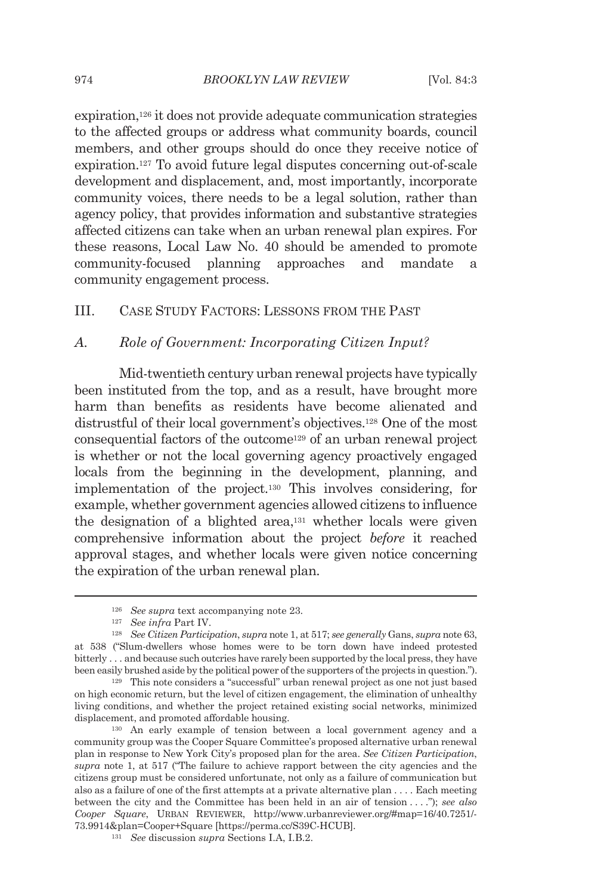expiration,<sup>126</sup> it does not provide adequate communication strategies to the affected groups or address what community boards, council members, and other groups should do once they receive notice of expiration.127 To avoid future legal disputes concerning out-of-scale development and displacement, and, most importantly, incorporate community voices, there needs to be a legal solution, rather than agency policy, that provides information and substantive strategies affected citizens can take when an urban renewal plan expires. For these reasons, Local Law No. 40 should be amended to promote community-focused planning approaches and mandate a community engagement process.

#### III. CASE STUDY FACTORS: LESSONS FROM THE PAST

#### *A. Role of Government: Incorporating Citizen Input?*

Mid-twentieth century urban renewal projects have typically been instituted from the top, and as a result, have brought more harm than benefits as residents have become alienated and distrustful of their local government's objectives.128 One of the most consequential factors of the outcome129 of an urban renewal project is whether or not the local governing agency proactively engaged locals from the beginning in the development, planning, and implementation of the project.130 This involves considering, for example, whether government agencies allowed citizens to influence the designation of a blighted area,131 whether locals were given comprehensive information about the project *before* it reached approval stages, and whether locals were given notice concerning the expiration of the urban renewal plan.

<sup>126</sup> *See supra* text accompanying note 23. 127 *See infra* Part IV. 128 *See Citizen Participation*, *supra* note 1, at 517; *see generally* Gans, *supra* note 63, at 538 ("Slum-dwellers whose homes were to be torn down have indeed protested bitterly . . . and because such outcries have rarely been supported by the local press, they have been easily brushed aside by the political power of the supporters of the projects in question."). 129 This note considers a "successful" urban renewal project as one not just based

on high economic return, but the level of citizen engagement, the elimination of unhealthy living conditions, and whether the project retained existing social networks, minimized displacement, and promoted affordable housing. 130 An early example of tension between a local government agency and a

community group was the Cooper Square Committee's proposed alternative urban renewal plan in response to New York City's proposed plan for the area. *See Citizen Participation*, *supra* note 1, at 517 ("The failure to achieve rapport between the city agencies and the citizens group must be considered unfortunate, not only as a failure of communication but also as a failure of one of the first attempts at a private alternative plan . . . . Each meeting between the city and the Committee has been held in an air of tension . . . ."); *see also Cooper Square*, URBAN REVIEWER, http://www.urbanreviewer.org/#map=16/40.7251/- 73.9914&plan=Cooper+Square [https://perma.cc/S39C-HCUB]. 131 *See* discussion *supra* Sections I.A, I.B.2.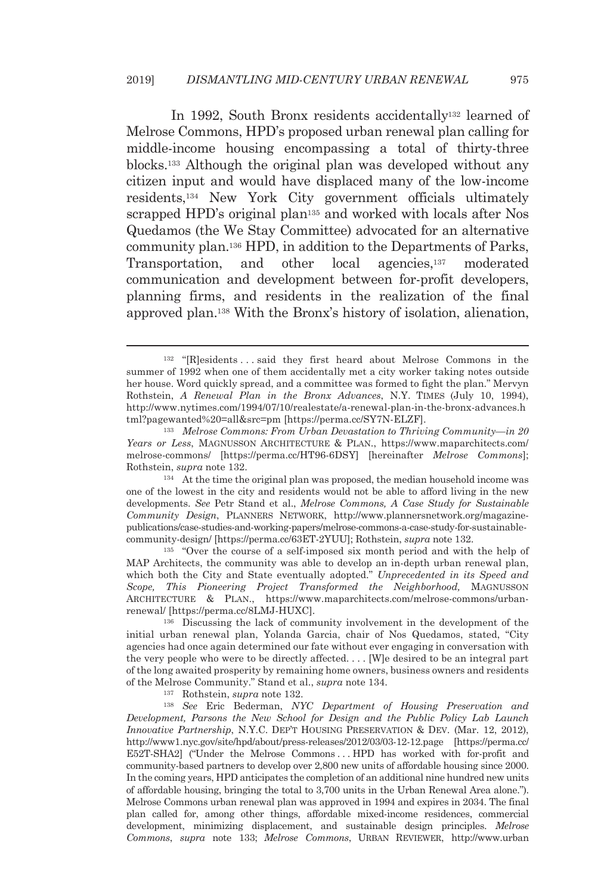In 1992, South Bronx residents accidentally132 learned of Melrose Commons, HPD's proposed urban renewal plan calling for middle-income housing encompassing a total of thirty-three blocks.133 Although the original plan was developed without any citizen input and would have displaced many of the low-income residents,134 New York City government officials ultimately scrapped HPD's original plan<sup>135</sup> and worked with locals after Nos Quedamos (the We Stay Committee) advocated for an alternative community plan.136 HPD, in addition to the Departments of Parks, Transportation, and other local agencies,137 moderated communication and development between for-profit developers, planning firms, and residents in the realization of the final approved plan.138 With the Bronx's history of isolation, alienation,

*Development, Parsons the New School for Design and the Public Policy Lab Launch Innovative Partnership*, N.Y.C. DEP'T HOUSING PRESERVATION & DEV. (Mar. 12, 2012), http://www1.nyc.gov/site/hpd/about/press-releases/2012/03/03-12-12.page [https://perma.cc/ E52T-SHA2] ("Under the Melrose Commons . . . HPD has worked with for-profit and community-based partners to develop over 2,800 new units of affordable housing since 2000. In the coming years, HPD anticipates the completion of an additional nine hundred new units of affordable housing, bringing the total to 3,700 units in the Urban Renewal Area alone."). Melrose Commons urban renewal plan was approved in 1994 and expires in 2034. The final plan called for, among other things, affordable mixed-income residences, commercial development, minimizing displacement, and sustainable design principles. *Melrose Commons*, *supra* note 133; *Melrose Commons*, URBAN REVIEWER, http://www.urban

<sup>132 &</sup>quot;[R]esidents . . . said they first heard about Melrose Commons in the summer of 1992 when one of them accidentally met a city worker taking notes outside her house. Word quickly spread, and a committee was formed to fight the plan." Mervyn Rothstein, *A Renewal Plan in the Bronx Advances*, N.Y. TIMES (July 10, 1994), http://www.nytimes.com/1994/07/10/realestate/a-renewal-plan-in-the-bronx-advances.h tml?pagewanted%20=all&src=pm [https://perma.cc/SY7N-ELZF]. 133 *Melrose Commons: From Urban Devastation to Thriving Community—in 20* 

*Years or Less*, MAGNUSSON ARCHITECTURE & PLAN., https://www.maparchitects.com/ melrose-commons/ [https://perma.cc/HT96-6DSY] [hereinafter *Melrose Commons*]; Rothstein, *supra* note 132.<br><sup>134</sup> At the time the original plan was proposed, the median household income was

one of the lowest in the city and residents would not be able to afford living in the new developments. *See* Petr Stand et al., *Melrose Commons, A Case Study for Sustainable Community Design*, PLANNERS NETWORK, http://www.plannersnetwork.org/magazinepublications/case-studies-and-working-papers/melrose-commons-a-case-study-for-sustainablecommunity-design/ [https://perma.cc/63ET-2YUU]; Rothstein, *supra* note 132. 135 "Over the course of a self-imposed six month period and with the help of

MAP Architects, the community was able to develop an in-depth urban renewal plan, which both the City and State eventually adopted." *Unprecedented in its Speed and Scope, This Pioneering Project Transformed the Neighborhood,* MAGNUSSON ARCHITECTURE & PLAN., https://www.maparchitects.com/melrose-commons/urbanrenewal/ [https://perma.cc/8LMJ-HUXC]. 136 Discussing the lack of community involvement in the development of the

initial urban renewal plan, Yolanda Garcia, chair of Nos Quedamos, stated, "City agencies had once again determined our fate without ever engaging in conversation with the very people who were to be directly affected. . . . [W]e desired to be an integral part of the long awaited prosperity by remaining home owners, business owners and residents of the Melrose Community." Stand et al., *supra* note 134. 137 Rothstein, *supra* note 132. 138 *See* Eric Bederman, *NYC Department of Housing Preservation and*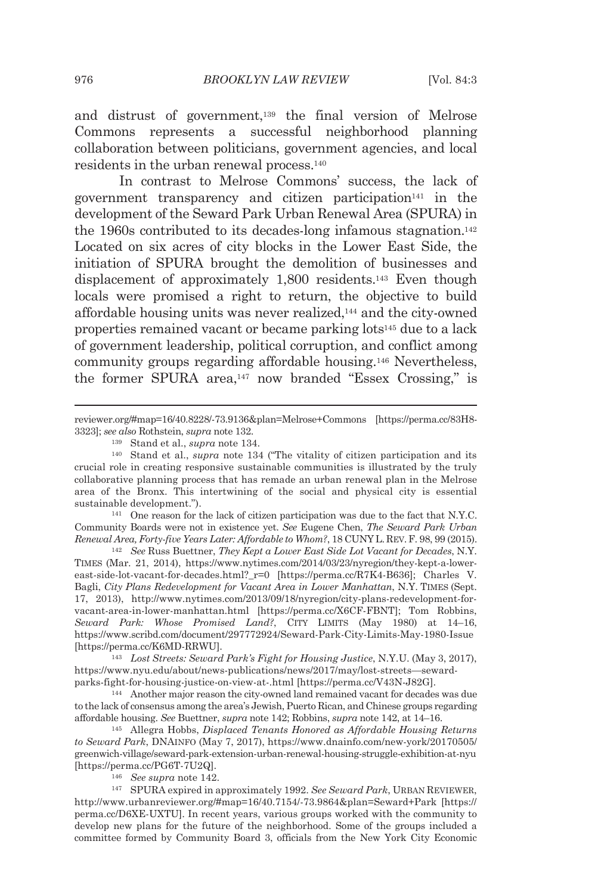and distrust of government,139 the final version of Melrose Commons represents a successful neighborhood planning collaboration between politicians, government agencies, and local residents in the urban renewal process.140

In contrast to Melrose Commons' success, the lack of government transparency and citizen participation<sup>141</sup> in the development of the Seward Park Urban Renewal Area (SPURA) in the 1960s contributed to its decades-long infamous stagnation.142 Located on six acres of city blocks in the Lower East Side, the initiation of SPURA brought the demolition of businesses and displacement of approximately 1,800 residents.<sup>143</sup> Even though locals were promised a right to return, the objective to build affordable housing units was never realized,144 and the city-owned properties remained vacant or became parking lots145 due to a lack of government leadership, political corruption, and conflict among community groups regarding affordable housing.146 Nevertheless, the former SPURA area,147 now branded "Essex Crossing," is

Community Boards were not in existence yet. *See* Eugene Chen, *The Seward Park Urban Renewal Area, Forty-five Years Later: Affordable to Whom?*, 18 CUNY L. REV.F. 98, 99 (2015). 142 *See* Russ Buettner, *They Kept a Lower East Side Lot Vacant for Decades*, N.Y.

TIMES (Mar. 21, 2014), https://www.nytimes.com/2014/03/23/nyregion/they-kept-a-lowereast-side-lot-vacant-for-decades.html?\_r=0 [https://perma.cc/R7K4-B636]; Charles V. Bagli, *City Plans Redevelopment for Vacant Area in Lower Manhattan*, N.Y. TIMES (Sept. 17, 2013), http://www.nytimes.com/2013/09/18/nyregion/city-plans-redevelopment-forvacant-area-in-lower-manhattan.html [https://perma.cc/X6CF-FBNT]; Tom Robbins, *Seward Park: Whose Promised Land?*, CITY LIMITS (May 1980) at 14–16, https://www.scribd.com/document/297772924/Seward-Park-City-Limits-May-1980-Issue [https://perma.cc/K6MD-RRWU]. 143 *Lost Streets: Seward Park's Fight for Housing Justice*, N.Y.U. (May 3, 2017),

https://www.nyu.edu/about/news-publications/news/2017/may/lost-streets—sewardparks-fight-for-housing-justice-on-view-at-.html [https://perma.cc/V43N-J82G]. 144 Another major reason the city-owned land remained vacant for decades was due

to the lack of consensus among the area's Jewish, Puerto Rican, and Chinese groups regarding affordable housing. *See* Buettner, *supra* note 142; Robbins, *supra* note 142, at 14–16. 145 Allegra Hobbs, *Displaced Tenants Honored as Affordable Housing Returns* 

*to Seward Park*, DNAINFO (May 7, 2017), https://www.dnainfo.com/new-york/20170505/ greenwich-village/seward-park-extension-urban-renewal-housing-struggle-exhibition-at-nyu [https://perma.cc/PG6T-7U2Q]. 146 *See supra* note 142. 147 SPURA expired in approximately 1992. *See Seward Park*, URBAN REVIEWER,

http://www.urbanreviewer.org/#map=16/40.7154/-73.9864&plan=Seward+Park [https:// perma.cc/D6XE-UXTU]. In recent years, various groups worked with the community to develop new plans for the future of the neighborhood. Some of the groups included a committee formed by Community Board 3, officials from the New York City Economic

reviewer.org/#map=16/40.8228/-73.9136&plan=Melrose+Commons [https://perma.cc/83H8- 3323]; *see also* Rothstein, *supra* note 132. 139 Stand et al., *supra* note 134. 140 Stand et al., *supra* note 134 ("The vitality of citizen participation and its

crucial role in creating responsive sustainable communities is illustrated by the truly collaborative planning process that has remade an urban renewal plan in the Melrose area of the Bronx. This intertwining of the social and physical city is essential sustainable development.").<br><sup>141</sup> One reason for the lack of citizen participation was due to the fact that N.Y.C.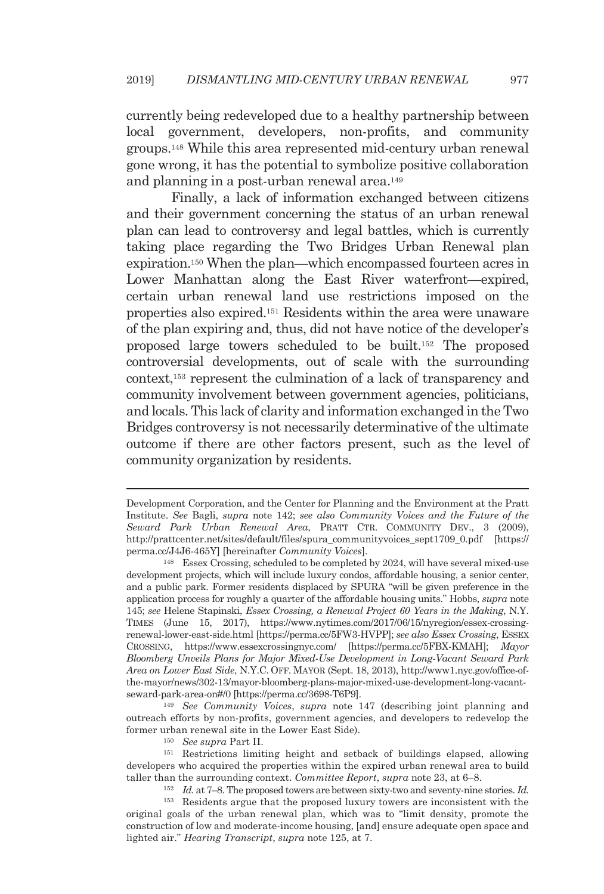currently being redeveloped due to a healthy partnership between local government, developers, non-profits, and community groups.148 While this area represented mid-century urban renewal gone wrong, it has the potential to symbolize positive collaboration and planning in a post-urban renewal area.149

Finally, a lack of information exchanged between citizens and their government concerning the status of an urban renewal plan can lead to controversy and legal battles, which is currently taking place regarding the Two Bridges Urban Renewal plan expiration.150 When the plan—which encompassed fourteen acres in Lower Manhattan along the East River waterfront—expired, certain urban renewal land use restrictions imposed on the properties also expired.151 Residents within the area were unaware of the plan expiring and, thus, did not have notice of the developer's proposed large towers scheduled to be built.152 The proposed controversial developments, out of scale with the surrounding context,153 represent the culmination of a lack of transparency and community involvement between government agencies, politicians, and locals. This lack of clarity and information exchanged in the Two Bridges controversy is not necessarily determinative of the ultimate outcome if there are other factors present, such as the level of community organization by residents.

outreach efforts by non-profits, government agencies, and developers to redevelop the former urban renewal site in the Lower East Side). 150 *See supra* Part II. 151 Restrictions limiting height and setback of buildings elapsed, allowing

153 Residents argue that the proposed luxury towers are inconsistent with the original goals of the urban renewal plan, which was to "limit density, promote the construction of low and moderate-income housing, [and] ensure adequate open space and lighted air." *Hearing Transcript*, *supra* note 125, at 7.

Development Corporation, and the Center for Planning and the Environment at the Pratt Institute. *See* Bagli, *supra* note 142; *see also Community Voices and the Future of the Seward Park Urban Renewal Area*, PRATT CTR. COMMUNITY DEV., 3 (2009), http://prattcenter.net/sites/default/files/spura\_communityvoices\_sept1709\_0.pdf [https:// perma.cc/J4J6-465Y] [hereinafter *Community Voices*]. 148 Essex Crossing, scheduled to be completed by 2024, will have several mixed-use

development projects, which will include luxury condos, affordable housing, a senior center, and a public park. Former residents displaced by SPURA "will be given preference in the application process for roughly a quarter of the affordable housing units." Hobbs, *supra* note 145; *see* Helene Stapinski, *Essex Crossing, a Renewal Project 60 Years in the Making*, N.Y. TIMES (June 15, 2017), https://www.nytimes.com/2017/06/15/nyregion/essex-crossingrenewal-lower-east-side.html [https://perma.cc/5FW3-HVPP]; *see also Essex Crossing*, ESSEX CROSSING, https://www.essexcrossingnyc.com/ [https://perma.cc/5FBX-KMAH]; *Mayor Bloomberg Unveils Plans for Major Mixed-Use Development in Long-Vacant Seward Park Area on Lower East Side*, N.Y.C. OFF. MAYOR (Sept. 18, 2013), http://www1.nyc.gov/office-ofthe-mayor/news/302-13/mayor-bloomberg-plans-major-mixed-use-development-long-vacantseward-park-area-on#/0 [https://perma.cc/3698-T6P9]. 149 *See Community Voices*, *supra* note 147 (describing joint planning and

developers who acquired the properties within the expired urban renewal area to build taller than the surrounding context. *Committee Report*, *supra* note 23, at 6–8.<br><sup>152</sup> *Id.* at 7–8. The proposed towers are between sixty-two and seventy-nine stories. *Id.*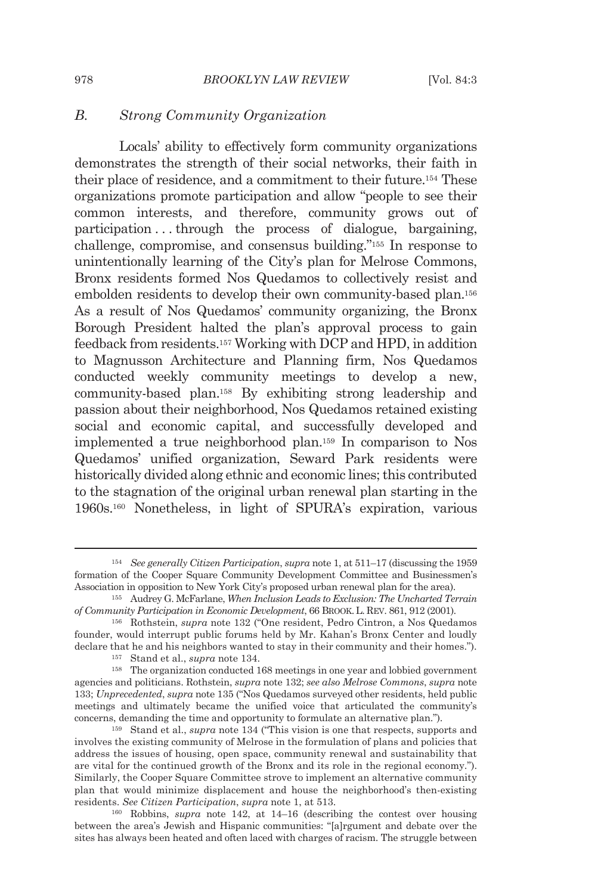# *B. Strong Community Organization*

Locals' ability to effectively form community organizations demonstrates the strength of their social networks, their faith in their place of residence, and a commitment to their future.154 These organizations promote participation and allow "people to see their common interests, and therefore, community grows out of participation . . . through the process of dialogue, bargaining, challenge, compromise, and consensus building."155 In response to unintentionally learning of the City's plan for Melrose Commons, Bronx residents formed Nos Quedamos to collectively resist and embolden residents to develop their own community-based plan.156 As a result of Nos Quedamos' community organizing, the Bronx Borough President halted the plan's approval process to gain feedback from residents.157 Working with DCP and HPD, in addition to Magnusson Architecture and Planning firm, Nos Quedamos conducted weekly community meetings to develop a new, community-based plan.158 By exhibiting strong leadership and passion about their neighborhood, Nos Quedamos retained existing social and economic capital, and successfully developed and implemented a true neighborhood plan.159 In comparison to Nos Quedamos' unified organization, Seward Park residents were historically divided along ethnic and economic lines; this contributed to the stagnation of the original urban renewal plan starting in the 1960s.160 Nonetheless, in light of SPURA's expiration, various

between the area's Jewish and Hispanic communities: "[a]rgument and debate over the sites has always been heated and often laced with charges of racism. The struggle between

<sup>154</sup> *See generally Citizen Participation*, *supra* note 1, at 511–17 (discussing the 1959 formation of the Cooper Square Community Development Committee and Businessmen's Association in opposition to New York City's proposed urban renewal plan for the area). 155 Audrey G. McFarlane, *When Inclusion Leads to Exclusion: The Uncharted Terrain* 

*of Community Participation in Economic Development*, 66 BROOK.L. REV. 861, 912 (2001). 156 Rothstein, *supra* note 132 ("One resident, Pedro Cintron, a Nos Quedamos

founder, would interrupt public forums held by Mr. Kahan's Bronx Center and loudly declare that he and his neighbors wanted to stay in their community and their homes.").<br><sup>157</sup> Stand et al., *supra* note 134.<br><sup>158</sup> The organization conducted 168 meetings in one year and lobbied government

agencies and politicians. Rothstein, *supra* note 132; *see also Melrose Commons*, *supra* note 133; *Unprecedented*, *supra* note 135 ("Nos Quedamos surveyed other residents, held public meetings and ultimately became the unified voice that articulated the community's concerns, demanding the time and opportunity to formulate an alternative plan."). 159 Stand et al., *supra* note 134 ("This vision is one that respects, supports and

involves the existing community of Melrose in the formulation of plans and policies that address the issues of housing, open space, community renewal and sustainability that are vital for the continued growth of the Bronx and its role in the regional economy."). Similarly, the Cooper Square Committee strove to implement an alternative community plan that would minimize displacement and house the neighborhood's then-existing residents. *See Citizen Participation*, *supra* note 1, at 513. 160 Robbins, *supra* note 142, at 14–16 (describing the contest over housing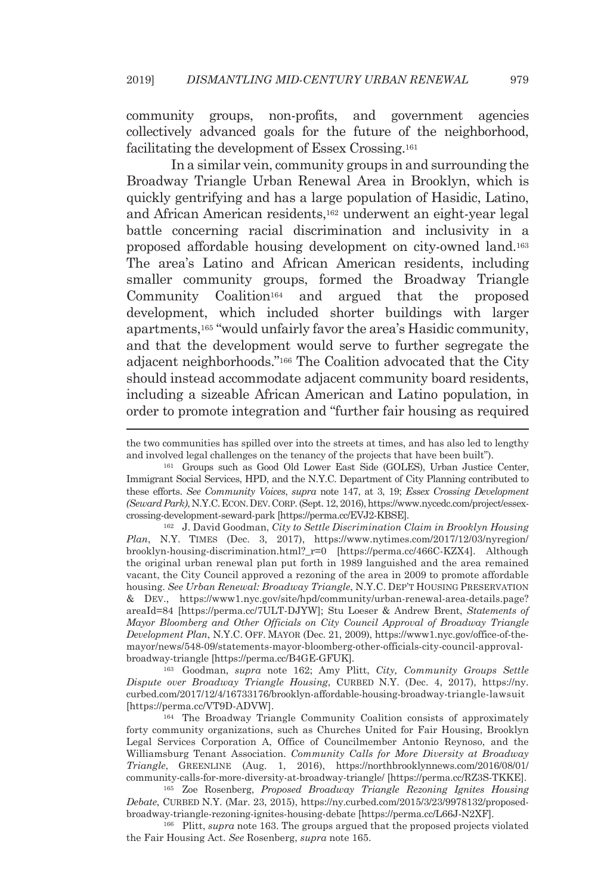community groups, non-profits, and government agencies collectively advanced goals for the future of the neighborhood, facilitating the development of Essex Crossing.161

In a similar vein, community groups in and surrounding the Broadway Triangle Urban Renewal Area in Brooklyn, which is quickly gentrifying and has a large population of Hasidic, Latino, and African American residents,162 underwent an eight-year legal battle concerning racial discrimination and inclusivity in a proposed affordable housing development on city-owned land.163 The area's Latino and African American residents, including smaller community groups, formed the Broadway Triangle Community Coalition164 and argued that the proposed development, which included shorter buildings with larger apartments,165 "would unfairly favor the area's Hasidic community, and that the development would serve to further segregate the adjacent neighborhoods."166 The Coalition advocated that the City should instead accommodate adjacent community board residents, including a sizeable African American and Latino population, in order to promote integration and "further fair housing as required

the two communities has spilled over into the streets at times, and has also led to lengthy and involved legal challenges on the tenancy of the projects that have been built").<br><sup>161</sup> Groups such as Good Old Lower East Side (GOLES), Urban Justice Center,

Immigrant Social Services, HPD, and the N.Y.C. Department of City Planning contributed to these efforts. *See Community Voices*, *supra* note 147, at 3, 19; *Essex Crossing Development (Seward Park)*, N.Y.C.ECON.DEV.CORP. (Sept. 12, 2016), https://www.nycedc.com/project/essexcrossing-development-seward-park [https://perma.cc/EVJ2-KBSE]. 162 J. David Goodman, *City to Settle Discrimination Claim in Brooklyn Housing* 

*Plan*, N.Y. TIMES (Dec. 3, 2017), https://www.nytimes.com/2017/12/03/nyregion/ brooklyn-housing-discrimination.html?\_r=0 [https://perma.cc/466C-KZX4]. Although the original urban renewal plan put forth in 1989 languished and the area remained vacant, the City Council approved a rezoning of the area in 2009 to promote affordable housing. *See Urban Renewal: Broadway Triangle*, N.Y.C. DEP'T HOUSING PRESERVATION & DEV., https://www1.nyc.gov/site/hpd/community/urban-renewal-area-details.page? areaId=84 [https://perma.cc/7ULT-DJYW]; Stu Loeser & Andrew Brent, *Statements of Mayor Bloomberg and Other Officials on City Council Approval of Broadway Triangle Development Plan*, N.Y.C. OFF. MAYOR (Dec. 21, 2009), https://www1.nyc.gov/office-of-themayor/news/548-09/statements-mayor-bloomberg-other-officials-city-council-approvalbroadway-triangle [https://perma.cc/B4GE-GFUK]. 163 Goodman, *supra* note 162; Amy Plitt, *City, Community Groups Settle* 

*Dispute over Broadway Triangle Housing*, CURBED N.Y. (Dec. 4, 2017), https://ny. curbed.com/2017/12/4/16733176/brooklyn-affordable-housing-broadway-triangle-lawsuit [https://perma.cc/VT9D-ADVW]. 164 The Broadway Triangle Community Coalition consists of approximately

forty community organizations, such as Churches United for Fair Housing, Brooklyn Legal Services Corporation A, Office of Councilmember Antonio Reynoso, and the Williamsburg Tenant Association. *Community Calls for More Diversity at Broadway Triangle*, GREENLINE (Aug. 1, 2016), https://northbrooklynnews.com/2016/08/01/ community-calls-for-more-diversity-at-broadway-triangle/ [https://perma.cc/RZ3S-TKKE]. 165 Zoe Rosenberg, *Proposed Broadway Triangle Rezoning Ignites Housing* 

*Debate*, CURBED N.Y. (Mar. 23, 2015), https://ny.curbed.com/2015/3/23/9978132/proposedbroadway-triangle-rezoning-ignites-housing-debate [https://perma.cc/L66J-N2XF]. 166 Plitt, *supra* note 163. The groups argued that the proposed projects violated

the Fair Housing Act. *See* Rosenberg, *supra* note 165.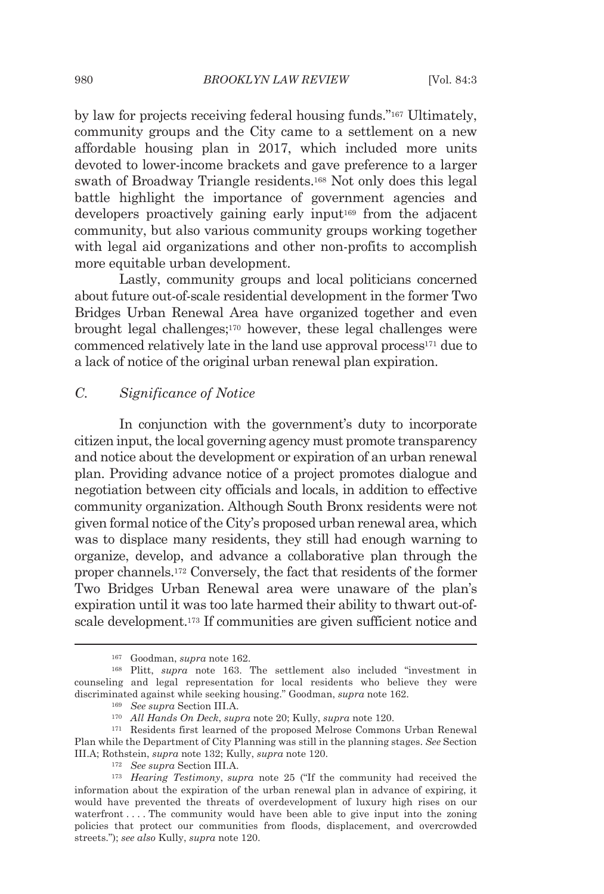by law for projects receiving federal housing funds."167 Ultimately, community groups and the City came to a settlement on a new affordable housing plan in 2017, which included more units devoted to lower-income brackets and gave preference to a larger swath of Broadway Triangle residents.<sup>168</sup> Not only does this legal battle highlight the importance of government agencies and developers proactively gaining early input169 from the adjacent community, but also various community groups working together with legal aid organizations and other non-profits to accomplish more equitable urban development.

Lastly, community groups and local politicians concerned about future out-of-scale residential development in the former Two Bridges Urban Renewal Area have organized together and even brought legal challenges;170 however, these legal challenges were commenced relatively late in the land use approval process171 due to a lack of notice of the original urban renewal plan expiration.

# *C. Significance of Notice*

In conjunction with the government's duty to incorporate citizen input, the local governing agency must promote transparency and notice about the development or expiration of an urban renewal plan. Providing advance notice of a project promotes dialogue and negotiation between city officials and locals, in addition to effective community organization. Although South Bronx residents were not given formal notice of the City's proposed urban renewal area, which was to displace many residents, they still had enough warning to organize, develop, and advance a collaborative plan through the proper channels.172 Conversely, the fact that residents of the former Two Bridges Urban Renewal area were unaware of the plan's expiration until it was too late harmed their ability to thwart out-ofscale development.173 If communities are given sufficient notice and

<sup>167</sup> Goodman, *supra* note 162. 168 Plitt, *supra* note 163. The settlement also included "investment in counseling and legal representation for local residents who believe they were discriminated against while seeking housing." Goodman, *supra* note 162.<br><sup>169</sup> See supra Section III.A.<br><sup>170</sup> All Hands On Deck, supra note 20; Kully, *supra* note 120.<br><sup>171</sup> Residents first learned of the proposed Melrose

Plan while the Department of City Planning was still in the planning stages. *See* Section III.A; Rothstein, *supra* note 132; Kully, *supra* note 120. 172 *See supra* Section III.A. 173 *Hearing Testimony*, *supra* note 25 ("If the community had received the

information about the expiration of the urban renewal plan in advance of expiring, it would have prevented the threats of overdevelopment of luxury high rises on our waterfront ... The community would have been able to give input into the zoning policies that protect our communities from floods, displacement, and overcrowded streets."); *see also* Kully, *supra* note 120.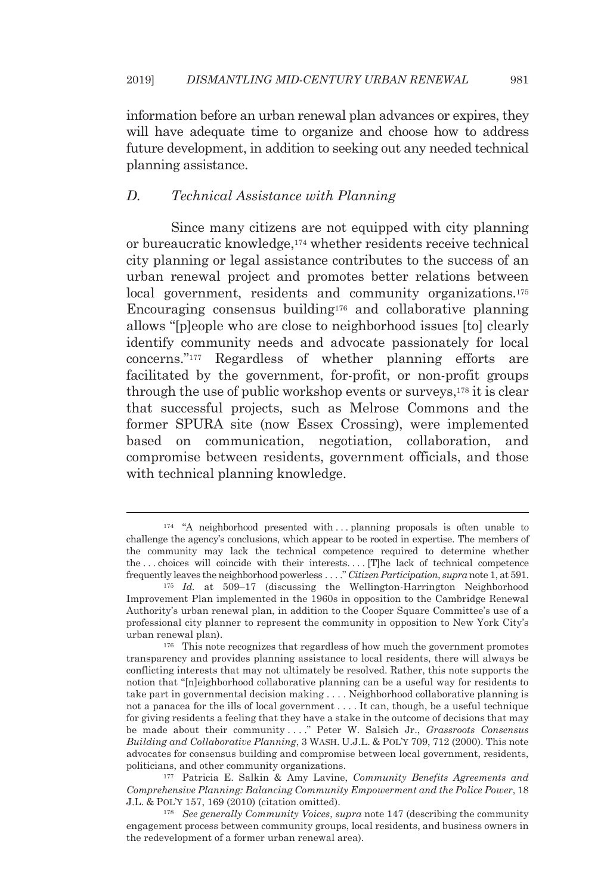information before an urban renewal plan advances or expires, they will have adequate time to organize and choose how to address future development, in addition to seeking out any needed technical planning assistance.

# *D. Technical Assistance with Planning*

Since many citizens are not equipped with city planning or bureaucratic knowledge,174 whether residents receive technical city planning or legal assistance contributes to the success of an urban renewal project and promotes better relations between local government, residents and community organizations.<sup>175</sup> Encouraging consensus building176 and collaborative planning allows "[p]eople who are close to neighborhood issues [to] clearly identify community needs and advocate passionately for local concerns."177 Regardless of whether planning efforts are facilitated by the government, for-profit, or non-profit groups through the use of public workshop events or surveys,<sup>178</sup> it is clear that successful projects, such as Melrose Commons and the former SPURA site (now Essex Crossing), were implemented based on communication, negotiation, collaboration, and compromise between residents, government officials, and those with technical planning knowledge.

engagement process between community groups, local residents, and business owners in the redevelopment of a former urban renewal area).

<sup>&</sup>lt;sup>174</sup> "A neighborhood presented with ... planning proposals is often unable to challenge the agency's conclusions, which appear to be rooted in expertise. The members of the community may lack the technical competence required to determine whether the . . . choices will coincide with their interests. . . . [T]he lack of technical competence frequently leaves the neighborhood powerless . . . ." *Citizen Participation*, *supra* note 1, at 591. 175 *Id.* at 509–17 (discussing the Wellington-Harrington Neighborhood

Improvement Plan implemented in the 1960s in opposition to the Cambridge Renewal Authority's urban renewal plan, in addition to the Cooper Square Committee's use of a professional city planner to represent the community in opposition to New York City's urban renewal plan).<br> $176$  This note recognizes that regardless of how much the government promotes

transparency and provides planning assistance to local residents, there will always be conflicting interests that may not ultimately be resolved. Rather, this note supports the notion that "[n]eighborhood collaborative planning can be a useful way for residents to take part in governmental decision making . . . . Neighborhood collaborative planning is not a panacea for the ills of local government . . . . It can, though, be a useful technique for giving residents a feeling that they have a stake in the outcome of decisions that may be made about their community . . . ." Peter W. Salsich Jr., *Grassroots Consensus Building and Collaborative Planning*, 3 WASH. U.J.L. & POL'Y 709, 712 (2000). This note advocates for consensus building and compromise between local government, residents, politicians, and other community organizations. 177 Patricia E. Salkin & Amy Lavine, *Community Benefits Agreements and* 

*Comprehensive Planning: Balancing Community Empowerment and the Police Power*, 18 J.L. & POL'Y 157, 169 (2010) (citation omitted). 178 *See generally Community Voices*, *supra* note 147 (describing the community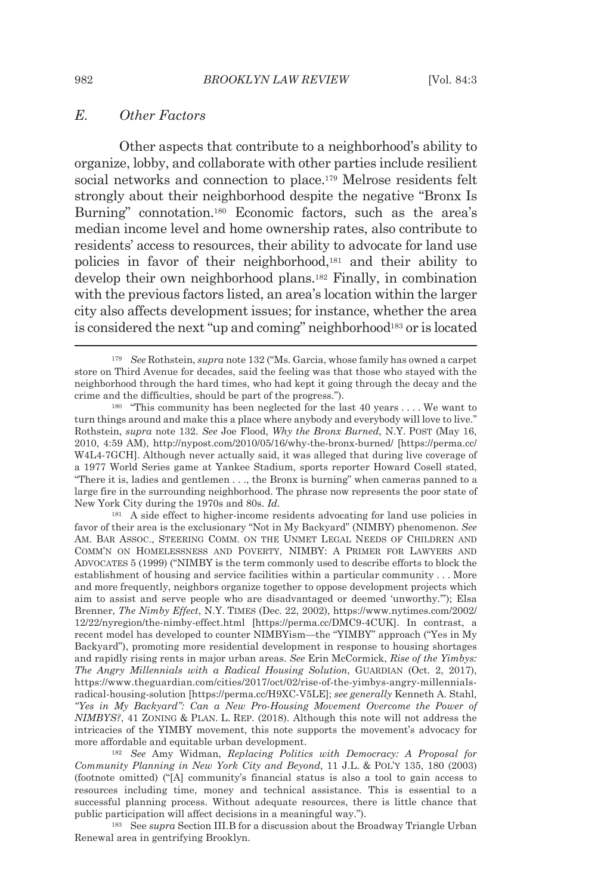## *E. Other Factors*

Other aspects that contribute to a neighborhood's ability to organize, lobby, and collaborate with other parties include resilient social networks and connection to place.179 Melrose residents felt strongly about their neighborhood despite the negative "Bronx Is Burning" connotation.180 Economic factors, such as the area's median income level and home ownership rates, also contribute to residents' access to resources, their ability to advocate for land use policies in favor of their neighborhood,181 and their ability to develop their own neighborhood plans.182 Finally, in combination with the previous factors listed, an area's location within the larger city also affects development issues; for instance, whether the area is considered the next "up and coming" neighborhood<sup>183</sup> or is located

<sup>179</sup> *See* Rothstein, *supra* note 132 ("Ms. Garcia, whose family has owned a carpet store on Third Avenue for decades, said the feeling was that those who stayed with the neighborhood through the hard times, who had kept it going through the decay and the crime and the difficulties, should be part of the progress.").<br><sup>180</sup> "This community has been neglected for the last 40 years . . . . We want to

turn things around and make this a place where anybody and everybody will love to live." Rothstein, *supra* note 132. *See* Joe Flood, *Why the Bronx Burned*, N.Y. POST (May 16, 2010, 4:59 AM), http://nypost.com/2010/05/16/why-the-bronx-burned/ [https://perma.cc/ W4L4-7GCH]. Although never actually said, it was alleged that during live coverage of a 1977 World Series game at Yankee Stadium, sports reporter Howard Cosell stated, "There it is, ladies and gentlemen . . ., the Bronx is burning" when cameras panned to a large fire in the surrounding neighborhood. The phrase now represents the poor state of New York City during the 1970s and 80s. *Id.*

<sup>181</sup> A side effect to higher-income residents advocating for land use policies in favor of their area is the exclusionary "Not in My Backyard" (NIMBY) phenomenon. *See*  AM. BAR ASSOC., STEERING COMM. ON THE UNMET LEGAL NEEDS OF CHILDREN AND COMM'N ON HOMELESSNESS AND POVERTY, NIMBY: A PRIMER FOR LAWYERS AND ADVOCATES 5 (1999) ("NIMBY is the term commonly used to describe efforts to block the establishment of housing and service facilities within a particular community . . . More and more frequently, neighbors organize together to oppose development projects which aim to assist and serve people who are disadvantaged or deemed 'unworthy.'"); Elsa Brenner, *The Nimby Effect*, N.Y. TIMES (Dec. 22, 2002), https://www.nytimes.com/2002/ 12/22/nyregion/the-nimby-effect.html [https://perma.cc/DMC9-4CUK]. In contrast, a recent model has developed to counter NIMBYism—the "YIMBY" approach ("Yes in My Backyard"), promoting more residential development in response to housing shortages and rapidly rising rents in major urban areas. *See* Erin McCormick, *Rise of the Yimbys: The Angry Millennials with a Radical Housing Solution*, GUARDIAN (Oct. 2, 2017), https://www.theguardian.com/cities/2017/oct/02/rise-of-the-yimbys-angry-millennialsradical-housing-solution [https://perma.cc/H9XC-V5LE]; *see generally* Kenneth A. Stahl, *"Yes in My Backyard": Can a New Pro-Housing Movement Overcome the Power of NIMBYS?*, 41 ZONING & PLAN. L. REP. (2018). Although this note will not address the intricacies of the YIMBY movement, this note supports the movement's advocacy for more affordable and equitable urban development. 182 *See* Amy Widman, *Replacing Politics with Democracy: A Proposal for* 

*Community Planning in New York City and Beyond*, 11 J.L. & POL'Y 135, 180 (2003) (footnote omitted) ("[A] community's financial status is also a tool to gain access to resources including time, money and technical assistance. This is essential to a successful planning process. Without adequate resources, there is little chance that public participation will affect decisions in a meaningful way.").<br><sup>183</sup> See *supra* Section III.B for a discussion about the Broadway Triangle Urban

Renewal area in gentrifying Brooklyn.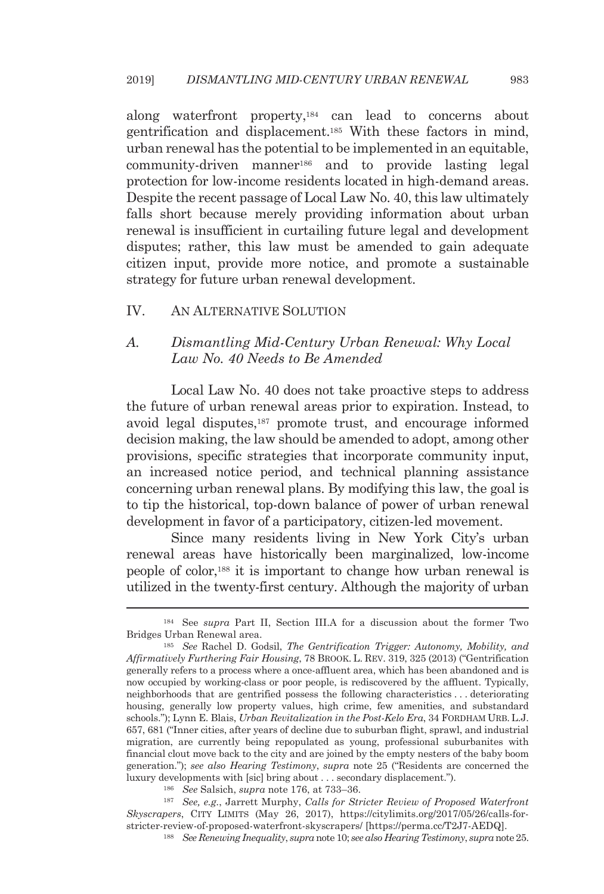along waterfront property,184 can lead to concerns about gentrification and displacement.185 With these factors in mind, urban renewal has the potential to be implemented in an equitable, community-driven manner186 and to provide lasting legal protection for low-income residents located in high-demand areas. Despite the recent passage of Local Law No. 40, this law ultimately falls short because merely providing information about urban renewal is insufficient in curtailing future legal and development disputes; rather, this law must be amended to gain adequate citizen input, provide more notice, and promote a sustainable strategy for future urban renewal development.

#### IV. AN ALTERNATIVE SOLUTION

# *A. Dismantling Mid-Century Urban Renewal: Why Local Law No. 40 Needs to Be Amended*

Local Law No. 40 does not take proactive steps to address the future of urban renewal areas prior to expiration. Instead, to avoid legal disputes,187 promote trust, and encourage informed decision making, the law should be amended to adopt, among other provisions, specific strategies that incorporate community input, an increased notice period, and technical planning assistance concerning urban renewal plans. By modifying this law, the goal is to tip the historical, top-down balance of power of urban renewal development in favor of a participatory, citizen-led movement.

Since many residents living in New York City's urban renewal areas have historically been marginalized, low-income people of color,188 it is important to change how urban renewal is utilized in the twenty-first century. Although the majority of urban

*Skyscrapers*, CITY LIMITS (May 26, 2017), https://citylimits.org/2017/05/26/calls-forstricter-review-of-proposed-waterfront-skyscrapers/ [https://perma.cc/T2J7-AEDQ]. 188 *See Renewing Inequality*, *supra* note 10; *see also Hearing Testimony*, *supra* note 25.

<sup>184</sup> See *supra* Part II, Section III.A for a discussion about the former Two Bridges Urban Renewal area.<br><sup>185</sup> See Rachel D. Godsil, *The Gentrification Trigger: Autonomy, Mobility, and* 

*Affirmatively Furthering Fair Housing*, 78 BROOK. L. REV. 319, 325 (2013) ("Gentrification generally refers to a process where a once-affluent area, which has been abandoned and is now occupied by working-class or poor people, is rediscovered by the affluent. Typically, neighborhoods that are gentrified possess the following characteristics . . . deteriorating housing, generally low property values, high crime, few amenities, and substandard schools."); Lynn E. Blais, *Urban Revitalization in the Post-Kelo Era*, 34 FORDHAM URB. L.J. 657, 681 ("Inner cities, after years of decline due to suburban flight, sprawl, and industrial migration, are currently being repopulated as young, professional suburbanites with financial clout move back to the city and are joined by the empty nesters of the baby boom generation."); *see also Hearing Testimony*, *supra* note 25 ("Residents are concerned the luxury developments with [sic] bring about . . . secondary displacement.").<br><sup>186</sup> See Salsich, *supra* note 176, at 733–36.<br><sup>187</sup> See, e.g., Jarrett Murphy, Calls for Stricter Review of Proposed Waterfront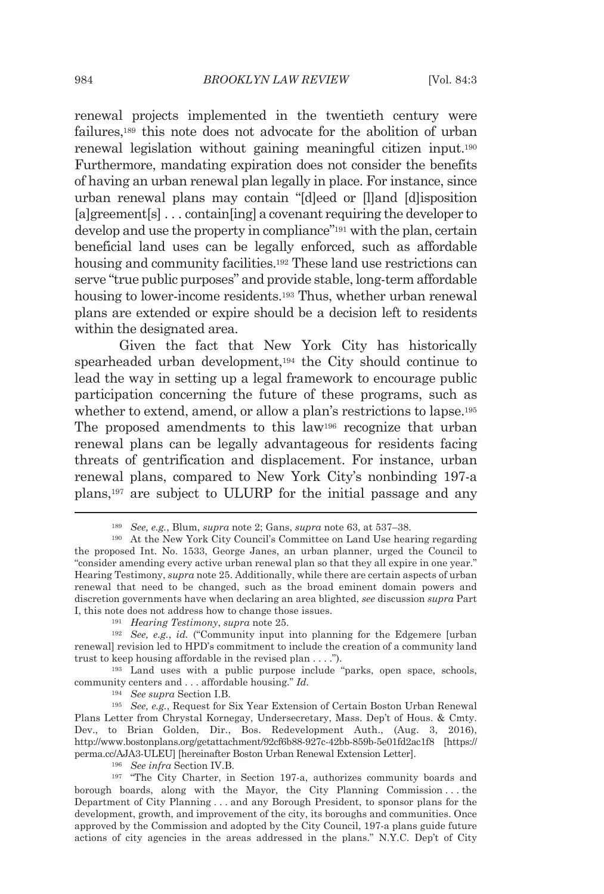renewal projects implemented in the twentieth century were failures,189 this note does not advocate for the abolition of urban renewal legislation without gaining meaningful citizen input.190 Furthermore, mandating expiration does not consider the benefits of having an urban renewal plan legally in place. For instance, since urban renewal plans may contain "[d]eed or [l]and [d]isposition [a]greement[s] . . . contain[ing] a covenant requiring the developer to develop and use the property in compliance"191 with the plan, certain beneficial land uses can be legally enforced, such as affordable housing and community facilities.<sup>192</sup> These land use restrictions can serve "true public purposes" and provide stable, long-term affordable housing to lower-income residents.<sup>193</sup> Thus, whether urban renewal plans are extended or expire should be a decision left to residents within the designated area.

Given the fact that New York City has historically spearheaded urban development,<sup>194</sup> the City should continue to lead the way in setting up a legal framework to encourage public participation concerning the future of these programs, such as whether to extend, amend, or allow a plan's restrictions to lapse.<sup>195</sup> The proposed amendments to this law196 recognize that urban renewal plans can be legally advantageous for residents facing threats of gentrification and displacement. For instance, urban renewal plans, compared to New York City's nonbinding 197-a plans,197 are subject to ULURP for the initial passage and any

community centers and . . . affordable housing." *Id.*

<sup>194</sup> *See supra* Section I.B. 195 *See, e.g.*, Request for Six Year Extension of Certain Boston Urban Renewal Plans Letter from Chrystal Kornegay, Undersecretary, Mass. Dep't of Hous. & Cmty. Dev., to Brian Golden, Dir., Bos. Redevelopment Auth., (Aug. 3, 2016), http://www.bostonplans.org/getattachment/92cf6b88-927c-42bb-859b-5e01fd2ac1f8 [https:// perma.cc/AJA3-ULEU] [hereinafter Boston Urban Renewal Extension Letter]. 196 *See infra* Section IV.B. 197 "The City Charter, in Section 197-a, authorizes community boards and

borough boards, along with the Mayor, the City Planning Commission . . . the Department of City Planning . . . and any Borough President, to sponsor plans for the development, growth, and improvement of the city, its boroughs and communities. Once approved by the Commission and adopted by the City Council, 197-a plans guide future actions of city agencies in the areas addressed in the plans." N.Y.C. Dep't of City

<sup>189</sup> *See, e.g.*, Blum, *supra* note 2; Gans, *supra* note 63, at 537–38. 190 At the New York City Council's Committee on Land Use hearing regarding the proposed Int. No. 1533, George Janes, an urban planner, urged the Council to "consider amending every active urban renewal plan so that they all expire in one year." Hearing Testimony, *supra* note 25. Additionally, while there are certain aspects of urban renewal that need to be changed, such as the broad eminent domain powers and discretion governments have when declaring an area blighted, *see* discussion *supra* Part I, this note does not address how to change those issues.<br><sup>191</sup> *Hearing Testimony*, *supra* note 25.<br><sup>192</sup> *See, e.g., id.* ("Community input into planning for the Edgemere [urban

renewal] revision led to HPD's commitment to include the creation of a community land trust to keep housing affordable in the revised plan  $\dots$ .").<br><sup>193</sup> Land uses with a public purpose include "parks, open space, schools,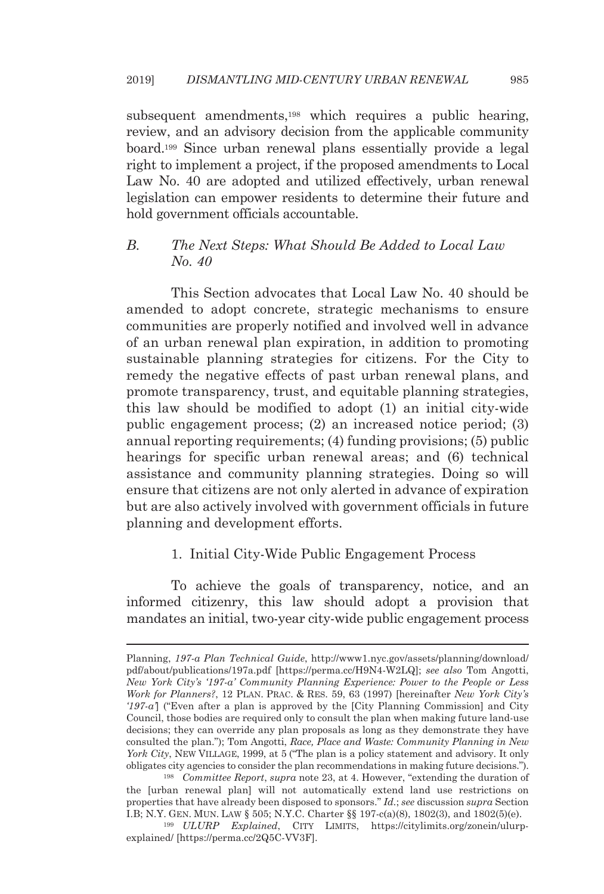subsequent amendments,<sup>198</sup> which requires a public hearing, review, and an advisory decision from the applicable community board.199 Since urban renewal plans essentially provide a legal right to implement a project, if the proposed amendments to Local Law No. 40 are adopted and utilized effectively, urban renewal legislation can empower residents to determine their future and hold government officials accountable.

# *B. The Next Steps: What Should Be Added to Local Law No. 40*

This Section advocates that Local Law No. 40 should be amended to adopt concrete, strategic mechanisms to ensure communities are properly notified and involved well in advance of an urban renewal plan expiration, in addition to promoting sustainable planning strategies for citizens. For the City to remedy the negative effects of past urban renewal plans, and promote transparency, trust, and equitable planning strategies, this law should be modified to adopt (1) an initial city-wide public engagement process; (2) an increased notice period; (3) annual reporting requirements; (4) funding provisions; (5) public hearings for specific urban renewal areas; and (6) technical assistance and community planning strategies. Doing so will ensure that citizens are not only alerted in advance of expiration but are also actively involved with government officials in future planning and development efforts.

# 1. Initial City-Wide Public Engagement Process

To achieve the goals of transparency, notice, and an informed citizenry, this law should adopt a provision that mandates an initial, two-year city-wide public engagement process

Planning, *197-a Plan Technical Guide*, http://www1.nyc.gov/assets/planning/download/ pdf/about/publications/197a.pdf [https://perma.cc/H9N4-W2LQ]; *see also* Tom Angotti, *New York City's '197-a' Community Planning Experience: Power to the People or Less Work for Planners?*, 12 PLAN. PRAC. & RES. 59, 63 (1997) [hereinafter *New York City's '197-a'*] ("Even after a plan is approved by the [City Planning Commission] and City Council, those bodies are required only to consult the plan when making future land-use decisions; they can override any plan proposals as long as they demonstrate they have consulted the plan."); Tom Angotti, *Race, Place and Waste: Community Planning in New York City*, NEW VILLAGE, 1999, at 5 ("The plan is a policy statement and advisory. It only obligates city agencies to consider the plan recommendations in making future decisions."). 198 *Committee Report*, *supra* note 23, at 4. However, "extending the duration of

the [urban renewal plan] will not automatically extend land use restrictions on properties that have already been disposed to sponsors." *Id.*; *see* discussion *supra* Section I.B; N.Y. GEN. MUN. LAW § 505; N.Y.C. Charter §§ 197-c(a)(8), 1802(3), and 1802(5)(e). 199 *ULURP Explained*, CITY LIMITS, https://citylimits.org/zonein/ulurp-

explained/ [https://perma.cc/2Q5C-VV3F].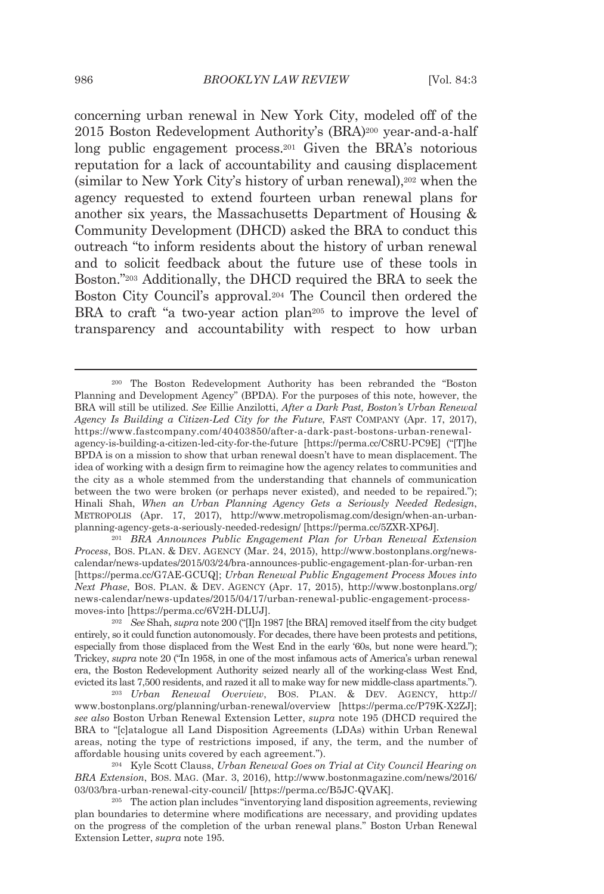concerning urban renewal in New York City, modeled off of the 2015 Boston Redevelopment Authority's (BRA)200 year-and-a-half long public engagement process.201 Given the BRA's notorious reputation for a lack of accountability and causing displacement (similar to New York City's history of urban renewal),202 when the agency requested to extend fourteen urban renewal plans for another six years, the Massachusetts Department of Housing & Community Development (DHCD) asked the BRA to conduct this outreach "to inform residents about the history of urban renewal and to solicit feedback about the future use of these tools in Boston."203 Additionally, the DHCD required the BRA to seek the Boston City Council's approval.204 The Council then ordered the BRA to craft "a two-year action plan<sup>205</sup> to improve the level of transparency and accountability with respect to how urban

*Process*, BOS. PLAN. & DEV. AGENCY (Mar. 24, 2015), http://www.bostonplans.org/newscalendar/news-updates/2015/03/24/bra-announces-public-engagement-plan-for-urban-ren [https://perma.cc/G7AE-GCUQ]; *Urban Renewal Public Engagement Process Moves into Next Phase*, BOS. PLAN. & DEV. AGENCY (Apr. 17, 2015), http://www.bostonplans.org/ news-calendar/news-updates/2015/04/17/urban-renewal-public-engagement-processmoves-into [https://perma.cc/6V2H-DLUJ]. 202 *See* Shah, *supra* note 200 ("[I]n 1987 [the BRA] removed itself from the city budget

<sup>200</sup> The Boston Redevelopment Authority has been rebranded the "Boston Planning and Development Agency" (BPDA). For the purposes of this note, however, the BRA will still be utilized. *See* Eillie Anzilotti, *After a Dark Past, Boston's Urban Renewal Agency Is Building a Citizen-Led City for the Future*, FAST COMPANY (Apr. 17, 2017), https://www.fastcompany.com/40403850/after-a-dark-past-bostons-urban-renewalagency-is-building-a-citizen-led-city-for-the-future [https://perma.cc/C8RU-PC9E] ("[T]he BPDA is on a mission to show that urban renewal doesn't have to mean displacement. The idea of working with a design firm to reimagine how the agency relates to communities and the city as a whole stemmed from the understanding that channels of communication between the two were broken (or perhaps never existed), and needed to be repaired."); Hinali Shah, *When an Urban Planning Agency Gets a Seriously Needed Redesign*, METROPOLIS (Apr. 17, 2017), http://www.metropolismag.com/design/when-an-urbanplanning-agency-gets-a-seriously-needed-redesign/ [https://perma.cc/5ZXR-XP6J]. 201 *BRA Announces Public Engagement Plan for Urban Renewal Extension* 

entirely, so it could function autonomously. For decades, there have been protests and petitions, especially from those displaced from the West End in the early '60s, but none were heard."); Trickey, *supra* note 20 ("In 1958, in one of the most infamous acts of America's urban renewal era, the Boston Redevelopment Authority seized nearly all of the working-class West End, evicted its last 7,500 residents, and razed it all to make way for new middle-class apartments."). 203 *Urban Renewal Overview*, BOS. PLAN. & DEV. AGENCY, http://

www.bostonplans.org/planning/urban-renewal/overview [https://perma.cc/P79K-X2ZJ]; *see also* Boston Urban Renewal Extension Letter, *supra* note 195 (DHCD required the BRA to "[c]atalogue all Land Disposition Agreements (LDAs) within Urban Renewal areas, noting the type of restrictions imposed, if any, the term, and the number of affordable housing units covered by each agreement."). 204 Kyle Scott Clauss, *Urban Renewal Goes on Trial at City Council Hearing on* 

*BRA Extension*, BOS. MAG. (Mar. 3, 2016), http://www.bostonmagazine.com/news/2016/ 03/03/bra-urban-renewal-city-council/ [https://perma.cc/B5JC-QVAK].<br><sup>205</sup> The action plan includes "inventorying land disposition agreements, reviewing

plan boundaries to determine where modifications are necessary, and providing updates on the progress of the completion of the urban renewal plans." Boston Urban Renewal Extension Letter, *supra* note 195.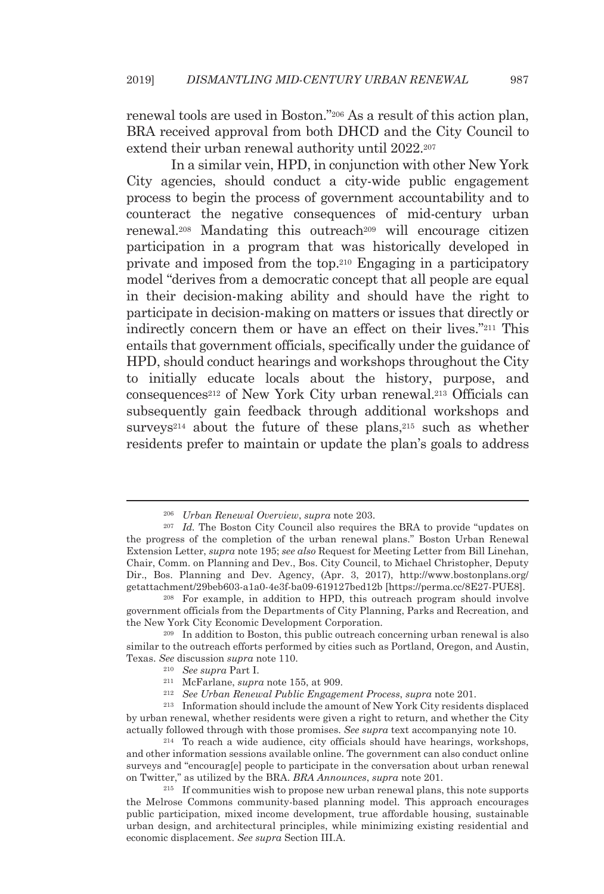renewal tools are used in Boston."206 As a result of this action plan, BRA received approval from both DHCD and the City Council to extend their urban renewal authority until 2022.207

In a similar vein, HPD, in conjunction with other New York City agencies, should conduct a city-wide public engagement process to begin the process of government accountability and to counteract the negative consequences of mid-century urban renewal.<sup>208</sup> Mandating this outreach<sup>209</sup> will encourage citizen participation in a program that was historically developed in private and imposed from the top.210 Engaging in a participatory model "derives from a democratic concept that all people are equal in their decision-making ability and should have the right to participate in decision-making on matters or issues that directly or indirectly concern them or have an effect on their lives."211 This entails that government officials, specifically under the guidance of HPD, should conduct hearings and workshops throughout the City to initially educate locals about the history, purpose, and consequences<sup>212</sup> of New York City urban renewal.<sup>213</sup> Officials can subsequently gain feedback through additional workshops and surveys<sup>214</sup> about the future of these plans,<sup>215</sup> such as whether residents prefer to maintain or update the plan's goals to address

<sup>206</sup> *Urban Renewal Overview*, *supra* note 203. 207 *Id.* The Boston City Council also requires the BRA to provide "updates on the progress of the completion of the urban renewal plans." Boston Urban Renewal Extension Letter, *supra* note 195; *see also* Request for Meeting Letter from Bill Linehan, Chair, Comm. on Planning and Dev., Bos. City Council, to Michael Christopher, Deputy Dir., Bos. Planning and Dev. Agency, (Apr. 3, 2017), http://www.bostonplans.org/ getattachment/29beb603-a1a0-4e3f-ba09-619127bed12b [https://perma.cc/8E27-PUE8]. 208 For example, in addition to HPD, this outreach program should involve

government officials from the Departments of City Planning, Parks and Recreation, and the New York City Economic Development Corporation.<br><sup>209</sup> In addition to Boston, this public outreach concerning urban renewal is also

similar to the outreach efforts performed by cities such as Portland, Oregon, and Austin, Texas. See discussion *supra* note 110.<br><sup>210</sup> See supra Part I.<br><sup>211</sup> McFarlane, *supra* note 155, at 909.<br><sup>212</sup> See Urban Renewal Public Engagement Process, supra note 201.<br><sup>213</sup> Information should include the amount of N

by urban renewal, whether residents were given a right to return, and whether the City

actually followed through with those promises. *See supra* text accompanying note 10. 214 To reach a wide audience, city officials should have hearings, workshops, and other information sessions available online. The government can also conduct online surveys and "encourag[e] people to participate in the conversation about urban renewal on Twitter," as utilized by the BRA. *BRA Announces*, *supra* note 201. 215 If communities wish to propose new urban renewal plans, this note supports

the Melrose Commons community-based planning model. This approach encourages public participation, mixed income development, true affordable housing, sustainable urban design, and architectural principles, while minimizing existing residential and economic displacement. *See supra* Section III.A.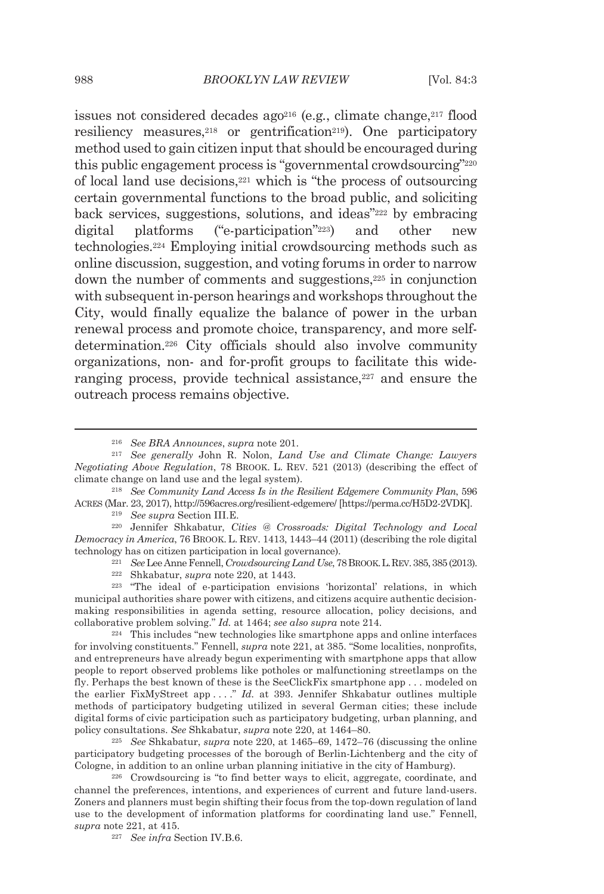issues not considered decades ago<sup>216</sup> (e.g., climate change,<sup>217</sup> flood resiliency measures, $218$  or gentrification<sup>219</sup>). One participatory method used to gain citizen input that should be encouraged during this public engagement process is "governmental crowdsourcing"220 of local land use decisions,221 which is "the process of outsourcing certain governmental functions to the broad public, and soliciting back services, suggestions, solutions, and ideas"222 by embracing digital platforms ("e-participation"<sup>223</sup>) and other new technologies.224 Employing initial crowdsourcing methods such as online discussion, suggestion, and voting forums in order to narrow down the number of comments and suggestions,225 in conjunction with subsequent in-person hearings and workshops throughout the City, would finally equalize the balance of power in the urban renewal process and promote choice, transparency, and more selfdetermination.226 City officials should also involve community organizations, non- and for-profit groups to facilitate this wideranging process, provide technical assistance, $227$  and ensure the outreach process remains objective.

municipal authorities share power with citizens, and citizens acquire authentic decisionmaking responsibilities in agenda setting, resource allocation, policy decisions, and collaborative problem solving." *Id.* at 1464; *see also supra* note 214. 224 This includes "new technologies like smartphone apps and online interfaces

for involving constituents." Fennell, *supra* note 221, at 385. "Some localities, nonprofits, and entrepreneurs have already begun experimenting with smartphone apps that allow people to report observed problems like potholes or malfunctioning streetlamps on the fly. Perhaps the best known of these is the SeeClickFix smartphone app . . . modeled on the earlier FixMyStreet app . . . ." *Id.* at 393. Jennifer Shkabatur outlines multiple methods of participatory budgeting utilized in several German cities; these include digital forms of civic participation such as participatory budgeting, urban planning, and policy consultations. *See* Shkabatur, *supra* note 220, at 1464–80. 225 *See* Shkabatur, *supra* note 220, at 1465–69, 1472–76 (discussing the online

participatory budgeting processes of the borough of Berlin-Lichtenberg and the city of Cologne, in addition to an online urban planning initiative in the city of Hamburg).<br><sup>226</sup> Crowdsourcing is "to find better ways to elicit, aggregate, coordinate, and

channel the preferences, intentions, and experiences of current and future land-users. Zoners and planners must begin shifting their focus from the top-down regulation of land use to the development of information platforms for coordinating land use." Fennell, *supra* note 221, at 415.

227 *See infra* Section IV.B.6.

<sup>216</sup> *See BRA Announces*, *supra* note 201. 217 *See generally* John R. Nolon, *Land Use and Climate Change: Lawyers Negotiating Above Regulation*, 78 BROOK. L. REV. 521 (2013) (describing the effect of climate change on land use and the legal system). 218 *See Community Land Access Is in the Resilient Edgemere Community Plan*, 596

ACRES (Mar. 23, 2017), http://596acres.org/resilient-edgemere/ [https://perma.cc/H5D2-2VDK]. 219 *See supra* Section III.E. 220 Jennifer Shkabatur, *Cities @ Crossroads: Digital Technology and Local* 

*Democracy in America*, 76 BROOK. L. REV. 1413, 1443–44 (2011) (describing the role digital technology has on citizen participation in local governance).<br><sup>221</sup> See Lee Anne Fennell, Crowdsourcing Land Use, 78 BROOK. L. REV. 385, 385 (2013).<br><sup>222</sup> Shkabatur, *supra* note 220, at 1443.<br><sup>223</sup> "The ideal of e-partici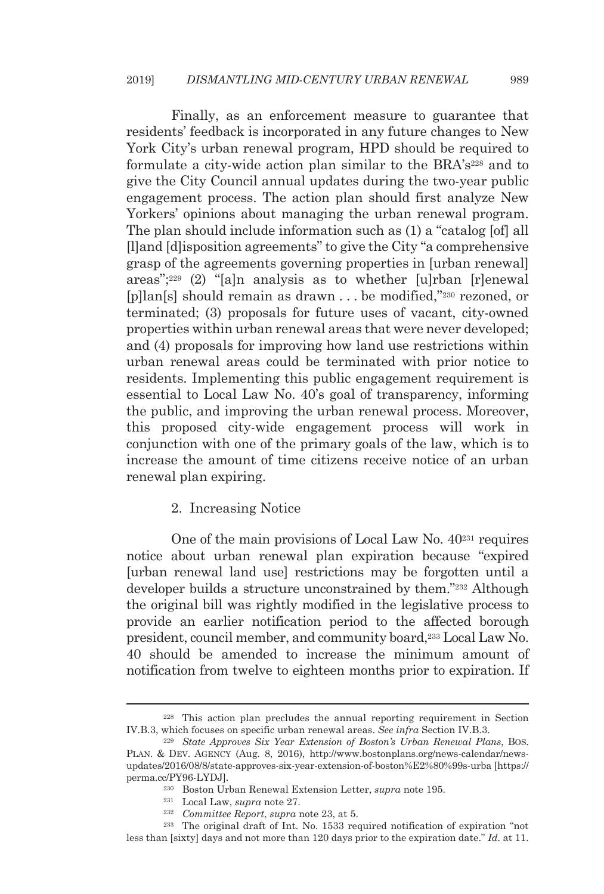Finally, as an enforcement measure to guarantee that residents' feedback is incorporated in any future changes to New York City's urban renewal program, HPD should be required to formulate a city-wide action plan similar to the BRA's<sup>228</sup> and to give the City Council annual updates during the two-year public engagement process. The action plan should first analyze New Yorkers' opinions about managing the urban renewal program. The plan should include information such as (1) a "catalog [of] all [l]and [d]isposition agreements" to give the City "a comprehensive grasp of the agreements governing properties in [urban renewal] areas";229 (2) "[a]n analysis as to whether [u]rban [r]enewal [p]lan[s] should remain as drawn . . . be modified,"230 rezoned, or terminated; (3) proposals for future uses of vacant, city-owned properties within urban renewal areas that were never developed; and (4) proposals for improving how land use restrictions within urban renewal areas could be terminated with prior notice to residents. Implementing this public engagement requirement is essential to Local Law No. 40's goal of transparency, informing the public, and improving the urban renewal process. Moreover, this proposed city-wide engagement process will work in conjunction with one of the primary goals of the law, which is to increase the amount of time citizens receive notice of an urban renewal plan expiring.

### 2. Increasing Notice

One of the main provisions of Local Law No. 40231 requires notice about urban renewal plan expiration because "expired [urban renewal land use] restrictions may be forgotten until a developer builds a structure unconstrained by them."232 Although the original bill was rightly modified in the legislative process to provide an earlier notification period to the affected borough president, council member, and community board,233 Local Law No. 40 should be amended to increase the minimum amount of notification from twelve to eighteen months prior to expiration. If

<sup>228</sup> This action plan precludes the annual reporting requirement in Section IV.B.3, which focuses on specific urban renewal areas. *See infra* Section IV.B.3. 229 *State Approves Six Year Extension of Boston's Urban Renewal Plans*, BOS.

PLAN. & DEV. AGENCY (Aug. 8, 2016), http://www.bostonplans.org/news-calendar/newsupdates/2016/08/8/state-approves-six-year-extension-of-boston%E2%80%99s-urba [https:// perma.cc/PY96-LYDJ].<br><sup>230</sup> Boston Urban Renewal Extension Letter, *supra* note 195.<br><sup>231</sup> Local Law, *supra* note 27.<br><sup>232</sup> Committee Report, *supra* note 23, at 5.<br><sup>233</sup> The original draft of Int. No. 1533 required notif

less than [sixty] days and not more than 120 days prior to the expiration date." *Id.* at 11.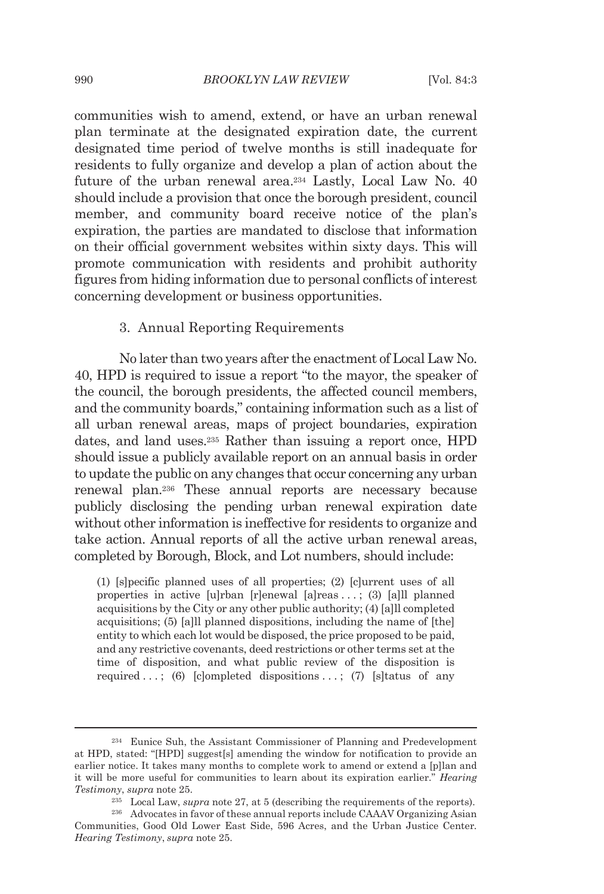communities wish to amend, extend, or have an urban renewal plan terminate at the designated expiration date, the current designated time period of twelve months is still inadequate for residents to fully organize and develop a plan of action about the future of the urban renewal area.<sup>234</sup> Lastly, Local Law No. 40 should include a provision that once the borough president, council member, and community board receive notice of the plan's expiration, the parties are mandated to disclose that information on their official government websites within sixty days. This will promote communication with residents and prohibit authority figures from hiding information due to personal conflicts of interest concerning development or business opportunities.

#### 3. Annual Reporting Requirements

No later than two years after the enactment of Local Law No. 40, HPD is required to issue a report "to the mayor, the speaker of the council, the borough presidents, the affected council members, and the community boards," containing information such as a list of all urban renewal areas, maps of project boundaries, expiration dates, and land uses.235 Rather than issuing a report once, HPD should issue a publicly available report on an annual basis in order to update the public on any changes that occur concerning any urban renewal plan.236 These annual reports are necessary because publicly disclosing the pending urban renewal expiration date without other information is ineffective for residents to organize and take action. Annual reports of all the active urban renewal areas, completed by Borough, Block, and Lot numbers, should include:

(1) [s]pecific planned uses of all properties; (2) [c]urrent uses of all properties in active [u]rban [r]enewal [a]reas . . . ; (3) [a]ll planned acquisitions by the City or any other public authority; (4) [a]ll completed acquisitions; (5) [a]ll planned dispositions, including the name of [the] entity to which each lot would be disposed, the price proposed to be paid, and any restrictive covenants, deed restrictions or other terms set at the time of disposition, and what public review of the disposition is required  $\ldots$ ; (6) [c]ompleted dispositions  $\ldots$ ; (7) [s] tatus of any

<sup>234</sup> Eunice Suh, the Assistant Commissioner of Planning and Predevelopment at HPD, stated: "[HPD] suggest[s] amending the window for notification to provide an earlier notice. It takes many months to complete work to amend or extend a [p]lan and it will be more useful for communities to learn about its expiration earlier." *Hearing Testimony, supra* note 25.<br><sup>235</sup> Local Law, *supra* note 27, at 5 (describing the requirements of the reports).<br><sup>236</sup> Advocates in favor of these annual reports include CAAAV Organizing Asian

Communities, Good Old Lower East Side, 596 Acres, and the Urban Justice Center*. Hearing Testimony*, *supra* note 25.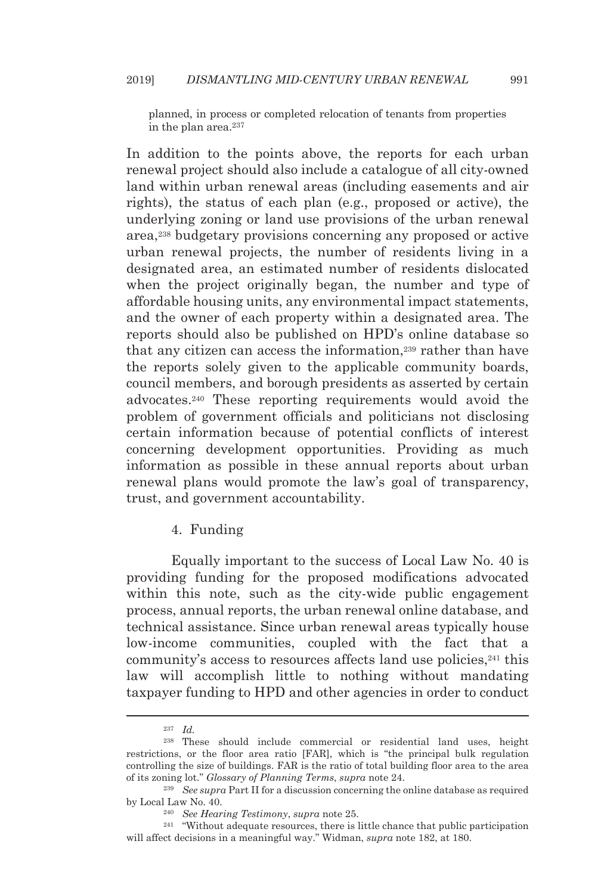planned, in process or completed relocation of tenants from properties in the plan area.237

In addition to the points above, the reports for each urban renewal project should also include a catalogue of all city-owned land within urban renewal areas (including easements and air rights), the status of each plan (e.g., proposed or active), the underlying zoning or land use provisions of the urban renewal area,238 budgetary provisions concerning any proposed or active urban renewal projects, the number of residents living in a designated area, an estimated number of residents dislocated when the project originally began, the number and type of affordable housing units, any environmental impact statements, and the owner of each property within a designated area. The reports should also be published on HPD's online database so that any citizen can access the information,239 rather than have the reports solely given to the applicable community boards, council members, and borough presidents as asserted by certain advocates.240 These reporting requirements would avoid the problem of government officials and politicians not disclosing certain information because of potential conflicts of interest concerning development opportunities. Providing as much information as possible in these annual reports about urban renewal plans would promote the law's goal of transparency, trust, and government accountability.

4. Funding

Equally important to the success of Local Law No. 40 is providing funding for the proposed modifications advocated within this note, such as the city-wide public engagement process, annual reports, the urban renewal online database, and technical assistance. Since urban renewal areas typically house low-income communities, coupled with the fact that a community's access to resources affects land use policies,<sup>241</sup> this law will accomplish little to nothing without mandating taxpayer funding to HPD and other agencies in order to conduct

<sup>237</sup> *Id.*

<sup>238</sup> These should include commercial or residential land uses, height restrictions, or the floor area ratio [FAR], which is "the principal bulk regulation controlling the size of buildings. FAR is the ratio of total building floor area to the area of its zoning lot." *Glossary of Planning Terms*, *supra* note 24. 239 *See supra* Part II for a discussion concerning the online database as required

by Local Law No. 40. 240 *See Hearing Testimony*, *supra* note 25. 241 "Without adequate resources, there is little chance that public participation

will affect decisions in a meaningful way." Widman, *supra* note 182, at 180.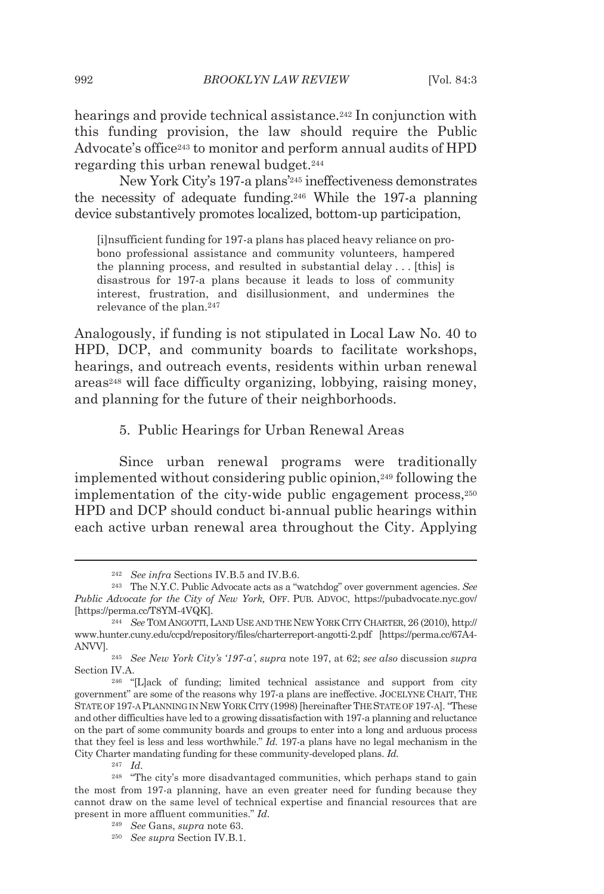hearings and provide technical assistance.<sup>242</sup> In conjunction with this funding provision, the law should require the Public Advocate's office243 to monitor and perform annual audits of HPD regarding this urban renewal budget.244

New York City's 197-a plans'245 ineffectiveness demonstrates the necessity of adequate funding.246 While the 197-a planning device substantively promotes localized, bottom-up participation,

[i]nsufficient funding for 197-a plans has placed heavy reliance on probono professional assistance and community volunteers, hampered the planning process, and resulted in substantial delay . . . [this] is disastrous for 197-a plans because it leads to loss of community interest, frustration, and disillusionment, and undermines the relevance of the plan.247

Analogously, if funding is not stipulated in Local Law No. 40 to HPD, DCP, and community boards to facilitate workshops, hearings, and outreach events, residents within urban renewal areas<sup>248</sup> will face difficulty organizing, lobbying, raising money, and planning for the future of their neighborhoods.

#### 5. Public Hearings for Urban Renewal Areas

Since urban renewal programs were traditionally implemented without considering public opinion,<sup>249</sup> following the implementation of the city-wide public engagement process,<sup>250</sup> HPD and DCP should conduct bi-annual public hearings within each active urban renewal area throughout the City. Applying

<sup>242</sup> *See infra* Sections IV.B.5 and IV.B.6. 243 The N.Y.C. Public Advocate acts as a "watchdog" over government agencies. *See Public Advocate for the City of New York,* OFF. PUB. ADVOC, https://pubadvocate.nyc.gov/ [https://perma.cc/T8YM-4VQK]. 244 *See* TOM ANGOTTI,LAND USE AND THE NEW YORK CITY CHARTER, 26 (2010), http://

www.hunter.cuny.edu/ccpd/repository/files/charterreport-angotti-2.pdf [https://perma.cc/67A4-ANVV].

ANVV]. 245 *See New York City's '197-a'*, *supra* note 197, at 62; *see also* discussion *supra*  Section IV.A.<br><sup>246</sup> "[L]ack of funding; limited technical assistance and support from city

government" are some of the reasons why 197-a plans are ineffective. JOCELYNE CHAIT, THE STATE OF 197-A PLANNING IN NEW YORK CITY (1998) [hereinafter THE STATE OF 197-A]. "These and other difficulties have led to a growing dissatisfaction with 197-a planning and reluctance on the part of some community boards and groups to enter into a long and arduous process that they feel is less and less worthwhile." *Id.* 197-a plans have no legal mechanism in the City Charter mandating funding for these community-developed plans. *Id.*

<sup>247</sup> *Id.*

<sup>&</sup>lt;sup>248</sup> "The city's more disadvantaged communities, which perhaps stand to gain the most from 197-a planning, have an even greater need for funding because they cannot draw on the same level of technical expertise and financial resources that are present in more affluent communities." *Id.*

<sup>249</sup> *See* Gans, *supra* note 63. 250 *See supra* Section IV.B.1.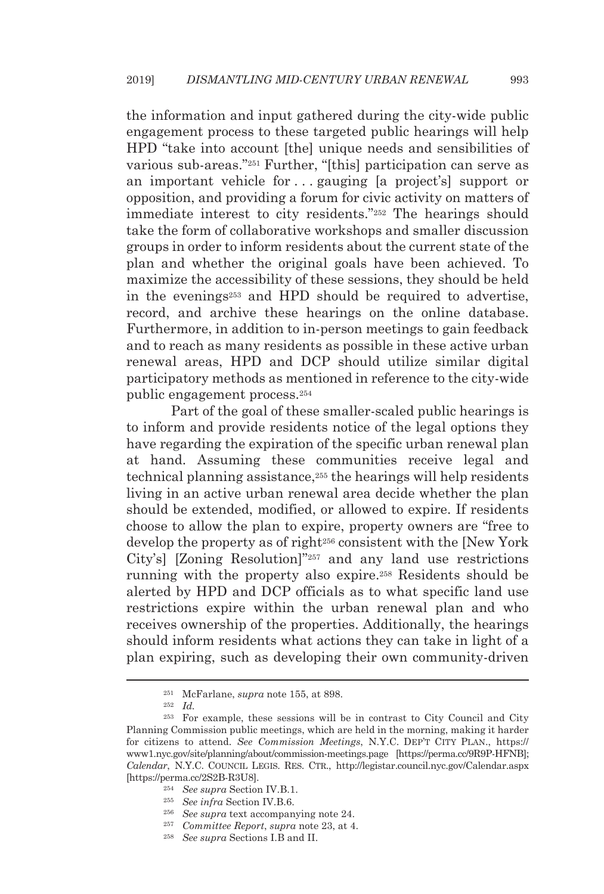the information and input gathered during the city-wide public engagement process to these targeted public hearings will help HPD "take into account [the] unique needs and sensibilities of various sub-areas."251 Further, "[this] participation can serve as an important vehicle for . . . gauging [a project's] support or opposition, and providing a forum for civic activity on matters of immediate interest to city residents."252 The hearings should take the form of collaborative workshops and smaller discussion groups in order to inform residents about the current state of the plan and whether the original goals have been achieved. To maximize the accessibility of these sessions, they should be held in the evenings253 and HPD should be required to advertise, record, and archive these hearings on the online database. Furthermore, in addition to in-person meetings to gain feedback and to reach as many residents as possible in these active urban renewal areas, HPD and DCP should utilize similar digital participatory methods as mentioned in reference to the city-wide public engagement process.254

Part of the goal of these smaller-scaled public hearings is to inform and provide residents notice of the legal options they have regarding the expiration of the specific urban renewal plan at hand. Assuming these communities receive legal and technical planning assistance,<sup>255</sup> the hearings will help residents living in an active urban renewal area decide whether the plan should be extended, modified, or allowed to expire. If residents choose to allow the plan to expire, property owners are "free to develop the property as of right<sup>256</sup> consistent with the [New York City's] [Zoning Resolution]"257 and any land use restrictions running with the property also expire.258 Residents should be alerted by HPD and DCP officials as to what specific land use restrictions expire within the urban renewal plan and who receives ownership of the properties. Additionally, the hearings should inform residents what actions they can take in light of a plan expiring, such as developing their own community-driven

<sup>251</sup> McFarlane, *supra* note 155, at 898. 252 *Id.*

<sup>253</sup> For example, these sessions will be in contrast to City Council and City Planning Commission public meetings, which are held in the morning, making it harder for citizens to attend. *See Commission Meetings*, N.Y.C. DEP'T CITY PLAN., https:// www1.nyc.gov/site/planning/about/commission-meetings.page [https://perma.cc/9R9P-HFNB]; *Calendar*, N.Y.C. COUNCIL LEGIS. RES. CTR., http://legistar.council.nyc.gov/Calendar.aspx [https://perma.cc/2S2B-R3U8]. 254 *See supra* Section IV.B.1. 255 *See infra* Section IV.B.6. 256 *See supra* text accompanying note 24. 257 *Committee Report*, *supra* note 23, at 4.

<sup>258</sup> *See supra* Sections I.B and II.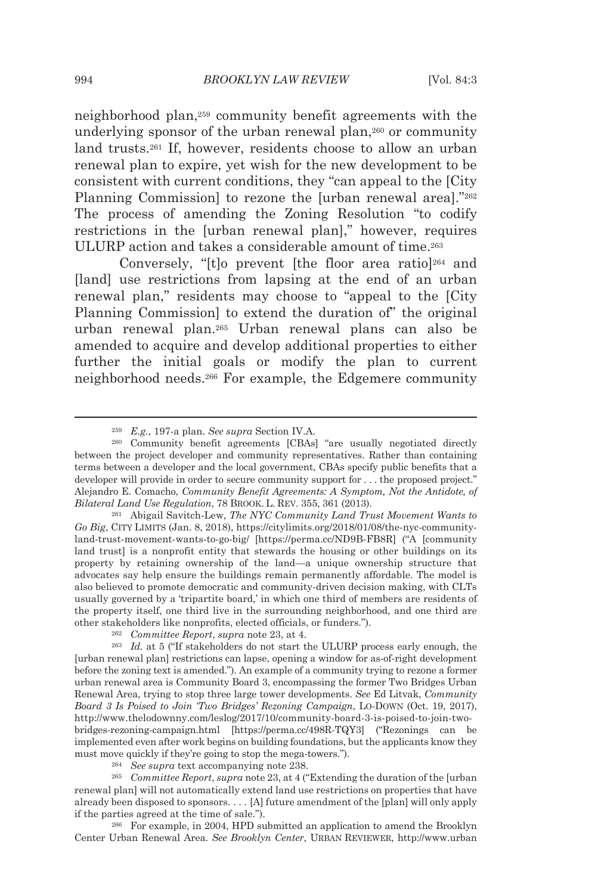neighborhood plan,259 community benefit agreements with the underlying sponsor of the urban renewal plan,<sup>260</sup> or community land trusts.261 If, however, residents choose to allow an urban renewal plan to expire, yet wish for the new development to be consistent with current conditions, they "can appeal to the [City Planning Commission] to rezone the [urban renewal area]."262 The process of amending the Zoning Resolution "to codify restrictions in the [urban renewal plan]," however, requires ULURP action and takes a considerable amount of time.<sup>263</sup>

Conversely, "[t]o prevent [the floor area ratio]<sup>264</sup> and [land] use restrictions from lapsing at the end of an urban renewal plan," residents may choose to "appeal to the [City Planning Commission] to extend the duration of" the original urban renewal plan.265 Urban renewal plans can also be amended to acquire and develop additional properties to either further the initial goals or modify the plan to current neighborhood needs.266 For example, the Edgemere community

Center Urban Renewal Area. *See Brooklyn Center*, URBAN REVIEWER, http://www.urban

<sup>259</sup> *E.g.*, 197-a plan. *See supra* Section IV.A. 260 Community benefit agreements [CBAs] "are usually negotiated directly between the project developer and community representatives. Rather than containing terms between a developer and the local government, CBAs specify public benefits that a developer will provide in order to secure community support for . . . the proposed project." Alejandro E. Comacho, *Community Benefit Agreements: A Symptom, Not the Antidote, of Bilateral Land Use Regulation*, 78 BROOK. L. REV. 355, 361 (2013). 261 Abigail Savitch-Lew, *The NYC Community Land Trust Movement Wants to* 

*Go Big*, CITY LIMITS (Jan. 8, 2018), https://citylimits.org/2018/01/08/the-nyc-communityland-trust-movement-wants-to-go-big/ [https://perma.cc/ND9B-FB8R] ("A [community land trust] is a nonprofit entity that stewards the housing or other buildings on its property by retaining ownership of the land—a unique ownership structure that advocates say help ensure the buildings remain permanently affordable. The model is also believed to promote democratic and community-driven decision making, with CLTs usually governed by a 'tripartite board,' in which one third of members are residents of the property itself, one third live in the surrounding neighborhood, and one third are other stakeholders like nonprofits, elected officials, or funders.").<br><sup>262</sup> *Committee Report*, *supra* note 23, at 4.<br><sup>263</sup> *Id.* at 5 ("If stakeholders do not start the ULURP process early enough, the

<sup>[</sup>urban renewal plan] restrictions can lapse, opening a window for as-of-right development before the zoning text is amended."). An example of a community trying to rezone a former urban renewal area is Community Board 3, encompassing the former Two Bridges Urban Renewal Area, trying to stop three large tower developments. *See* Ed Litvak, *Community Board 3 Is Poised to Join 'Two Bridges' Rezoning Campaign*, LO-DOWN (Oct. 19, 2017), http://www.thelodownny.com/leslog/2017/10/community-board-3-is-poised-to-join-twobridges-rezoning-campaign.html [https://perma.cc/498R-TQY3] ("Rezonings can be implemented even after work begins on building foundations, but the applicants know they must move quickly if they're going to stop the mega-towers."). 264 *See supra* text accompanying note 238.

<sup>265</sup> *Committee Report*, *supra* note 23, at 4 ("Extending the duration of the [urban renewal plan] will not automatically extend land use restrictions on properties that have already been disposed to sponsors. . . . [A] future amendment of the [plan] will only apply if the parties agreed at the time of sale.").<br><sup>266</sup> For example, in 2004, HPD submitted an application to amend the Brooklyn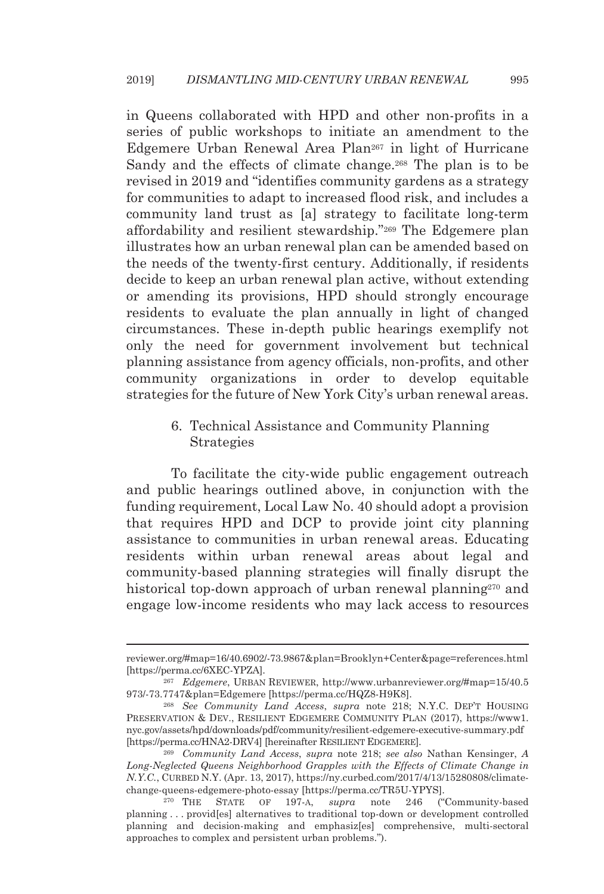in Queens collaborated with HPD and other non-profits in a series of public workshops to initiate an amendment to the Edgemere Urban Renewal Area Plan267 in light of Hurricane Sandy and the effects of climate change.<sup>268</sup> The plan is to be revised in 2019 and "identifies community gardens as a strategy for communities to adapt to increased flood risk, and includes a community land trust as [a] strategy to facilitate long-term affordability and resilient stewardship."269 The Edgemere plan illustrates how an urban renewal plan can be amended based on the needs of the twenty-first century. Additionally, if residents decide to keep an urban renewal plan active, without extending or amending its provisions, HPD should strongly encourage residents to evaluate the plan annually in light of changed circumstances. These in-depth public hearings exemplify not only the need for government involvement but technical planning assistance from agency officials, non-profits, and other community organizations in order to develop equitable strategies for the future of New York City's urban renewal areas.

# 6. Technical Assistance and Community Planning Strategies

To facilitate the city-wide public engagement outreach and public hearings outlined above, in conjunction with the funding requirement, Local Law No. 40 should adopt a provision that requires HPD and DCP to provide joint city planning assistance to communities in urban renewal areas. Educating residents within urban renewal areas about legal and community-based planning strategies will finally disrupt the historical top-down approach of urban renewal planning<sup>270</sup> and engage low-income residents who may lack access to resources

reviewer.org/#map=16/40.6902/-73.9867&plan=Brooklyn+Center&page=references.html [https://perma.cc/6XEC-YPZA]. 267 *Edgemere*, URBAN REVIEWER, http://www.urbanreviewer.org/#map=15/40.5

<sup>973/-73.7747&</sup>amp;plan=Edgemere [https://perma.cc/HQZ8-H9K8]. 268 *See Community Land Access*, *supra* note 218; N.Y.C. DEP'T HOUSING

PRESERVATION & DEV., RESILIENT EDGEMERE COMMUNITY PLAN (2017), https://www1. nyc.gov/assets/hpd/downloads/pdf/community/resilient-edgemere-executive-summary.pdf [https://perma.cc/HNA2-DRV4] [hereinafter RESILIENT EDGEMERE]. 269 *Community Land Access*, *supra* note 218; *see also* Nathan Kensinger, *<sup>A</sup>*

*Long-Neglected Queens Neighborhood Grapples with the Effects of Climate Change in N.Y.C.*, CURBED N.Y. (Apr. 13, 2017), https://ny.curbed.com/2017/4/13/15280808/climatechange-queens-edgemere-photo-essay [https://perma.cc/TR5U-YPYS]. 270 THE STATE OF 197-A, *supra* note 246 ("Community-based

planning . . . provid[es] alternatives to traditional top-down or development controlled planning and decision-making and emphasiz[es] comprehensive, multi-sectoral approaches to complex and persistent urban problems.").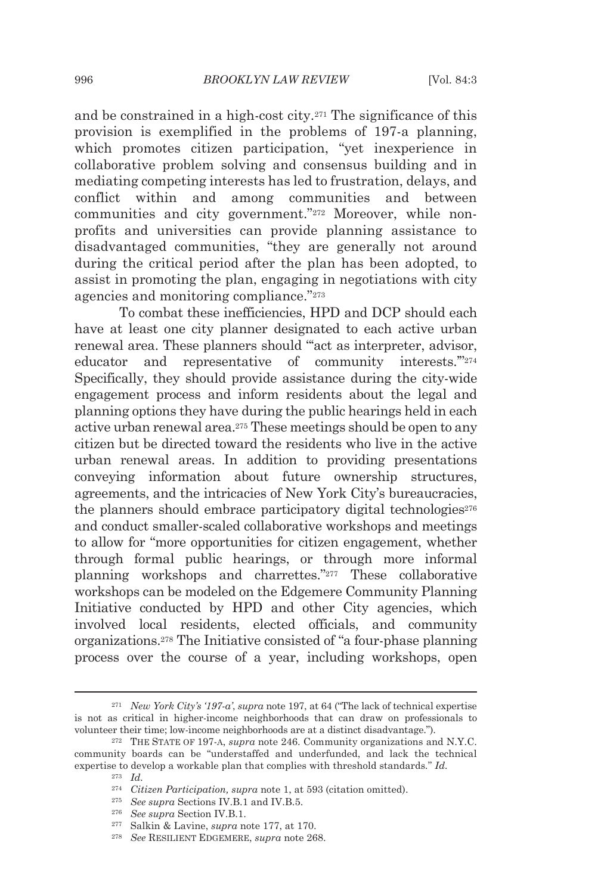and be constrained in a high-cost city.271 The significance of this provision is exemplified in the problems of 197-a planning, which promotes citizen participation, "yet inexperience in collaborative problem solving and consensus building and in mediating competing interests has led to frustration, delays, and conflict within and among communities and between communities and city government."272 Moreover, while nonprofits and universities can provide planning assistance to disadvantaged communities, "they are generally not around during the critical period after the plan has been adopted, to assist in promoting the plan, engaging in negotiations with city agencies and monitoring compliance."273

To combat these inefficiencies, HPD and DCP should each have at least one city planner designated to each active urban renewal area. These planners should "'act as interpreter, advisor, educator and representative of community interests."<sup>274</sup> Specifically, they should provide assistance during the city-wide engagement process and inform residents about the legal and planning options they have during the public hearings held in each active urban renewal area.275 These meetings should be open to any citizen but be directed toward the residents who live in the active urban renewal areas. In addition to providing presentations conveying information about future ownership structures, agreements, and the intricacies of New York City's bureaucracies, the planners should embrace participatory digital technologies<sup>276</sup> and conduct smaller-scaled collaborative workshops and meetings to allow for "more opportunities for citizen engagement, whether through formal public hearings, or through more informal planning workshops and charrettes."277 These collaborative workshops can be modeled on the Edgemere Community Planning Initiative conducted by HPD and other City agencies, which involved local residents, elected officials, and community organizations.278 The Initiative consisted of "a four-phase planning process over the course of a year, including workshops, open

<sup>271</sup> *New York City's '197-a'*, *supra* note 197, at 64 ("The lack of technical expertise is not as critical in higher-income neighborhoods that can draw on professionals to volunteer their time; low-income neighborhoods are at a distinct disadvantage."). 272 THE STATE OF 197-A, *supra* note 246. Community organizations and N.Y.C.

community boards can be "understaffed and underfunded, and lack the technical expertise to develop a workable plan that complies with threshold standards*.*" *Id.*

<sup>273</sup> *Id.*

<sup>&</sup>lt;sup>274</sup> Citizen Participation, supra note 1, at 593 (citation omitted).<br><sup>275</sup> See supra Sections IV.B.1 and IV.B.5.<br><sup>276</sup> See supra Section IV.B.1.<br><sup>277</sup> Salkin & Lavine, *supra* note 177, at 170.<br><sup>278</sup> See RESILIENT EDGEME